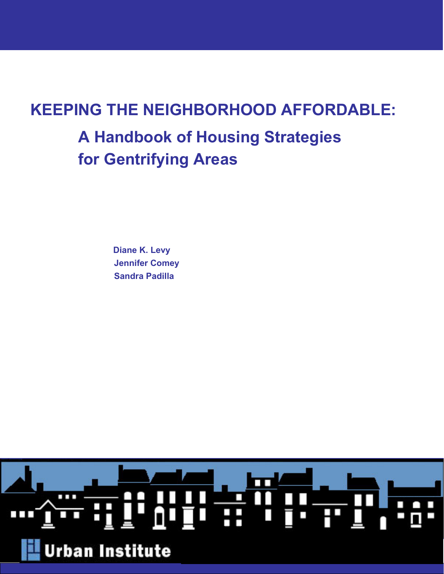# **KEEPING THE NEIGHBORHOOD AFFORDABLE:**

# **A Handbook of Housing Strategies for Gentrifying Areas**

 **Diane K. Levy Jennifer Comey Sandra Padilla** 

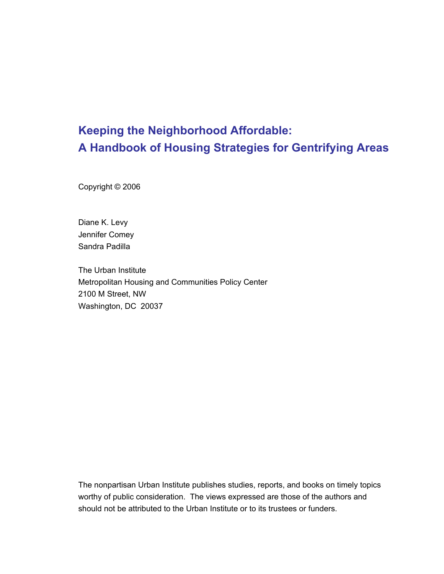# **Keeping the Neighborhood Affordable: A Handbook of Housing Strategies for Gentrifying Areas**

Copyright © 2006

Diane K. Levy Jennifer Comey Sandra Padilla

The Urban Institute Metropolitan Housing and Communities Policy Center 2100 M Street, NW Washington, DC 20037

The nonpartisan Urban Institute publishes studies, reports, and books on timely topics worthy of public consideration. The views expressed are those of the authors and should not be attributed to the Urban Institute or to its trustees or funders.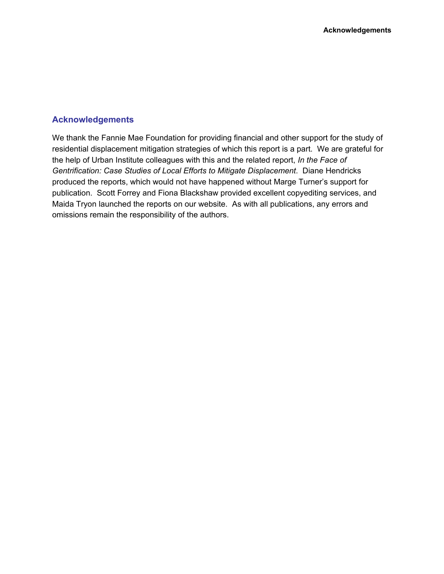# **Acknowledgements**

We thank the Fannie Mae Foundation for providing financial and other support for the study of residential displacement mitigation strategies of which this report is a part. We are grateful for the help of Urban Institute colleagues with this and the related report, *In the Face of Gentrification: Case Studies of Local Efforts to Mitigate Displacement*. Diane Hendricks produced the reports, which would not have happened without Marge Turner's support for publication. Scott Forrey and Fiona Blackshaw provided excellent copyediting services, and Maida Tryon launched the reports on our website. As with all publications, any errors and omissions remain the responsibility of the authors.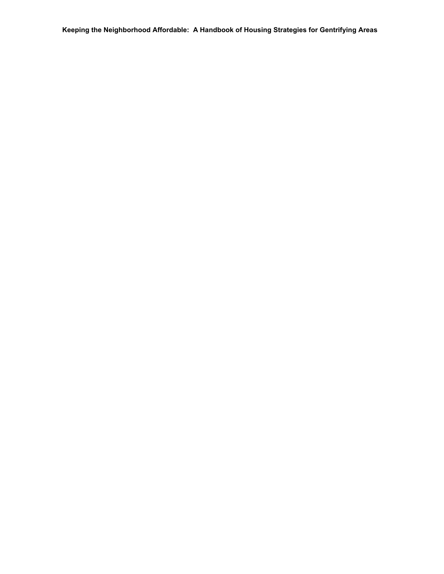**Keeping the Neighborhood Affordable: A Handbook of Housing Strategies for Gentrifying Areas**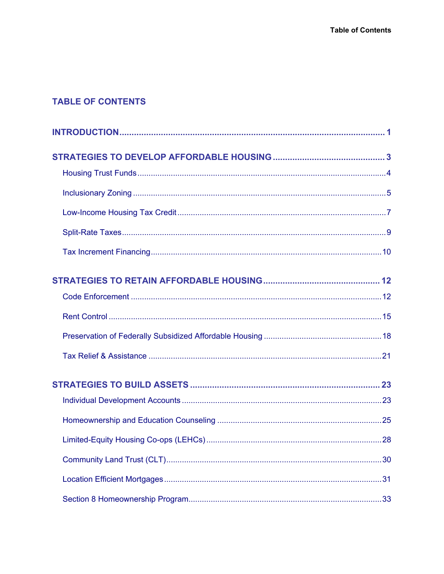# **TABLE OF CONTENTS**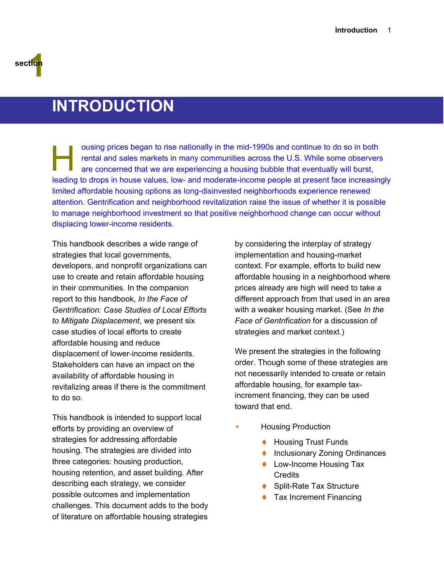<span id="page-8-0"></span>

# **INTRODUCTION**

ousing prices began to rise nationally in the mid-1990s and continue to do so in both rental and sales markets in many communities across the U.S. While some observers are concerned that we are experiencing a housing bubble that eventually will burst, leading to drops in house values, low- and moderate-income people at present face increasingly limited affordable housing options as long-disinvested neighborhoods experience renewed attention. Gentrification and neighborhood revitalization raise the issue of whether it is possible to manage neighborhood investment so that positive neighborhood change can occur without displacing lower-income residents.

This handbook describes a wide range of strategies that local governments, developers, and nonprofit organizations can use to create and retain affordable housing in their communities. In the companion report to this handbook, *In the Face of Gentrification: Case Studies of Local Efforts to Mitigate Displacement*, we present six case studies of local efforts to create affordable housing and reduce displacement of lower-income residents. Stakeholders can have an impact on the availability of affordable housing in revitalizing areas if there is the commitment to do so.

This handbook is intended to support local efforts by providing an overview of strategies for addressing affordable housing. The strategies are divided into three categories: housing production, housing retention, and asset building. After describing each strategy, we consider possible outcomes and implementation challenges. This document adds to the body of literature on affordable housing strategies

by considering the interplay of strategy implementation and housing-market context. For example, efforts to build new affordable housing in a neighborhood where prices already are high will need to take a different approach from that used in an area with a weaker housing market. (See *In the Face of Gentrification* for a discussion of strategies and market context.)

We present the strategies in the following order. Though some of these strategies are not necessarily intended to create or retain affordable housing, for example taxincrement financing, they can be used toward that end.

- Housing Production
	- ♦ Housing Trust Funds
	- ♦ Inclusionary Zoning Ordinances
	- Low-Income Housing Tax **Credits**
	- ◆ Split-Rate Tax Structure
	- Tax Increment Financing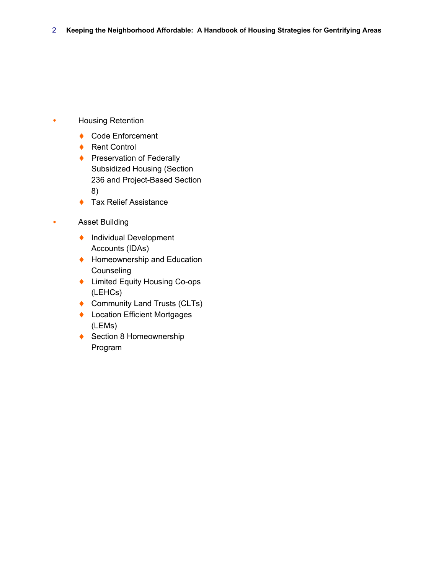#### • Housing Retention

- ◆ Code Enforcement
- ◆ Rent Control
- ◆ Preservation of Federally Subsidized Housing (Section 236 and Project-Based Section 8)
- ◆ Tax Relief Assistance
- Asset Building
	- ◆ Individual Development Accounts (IDAs)
	- ◆ Homeownership and Education Counseling
	- Limited Equity Housing Co-ops (LEHCs)
	- ◆ Community Land Trusts (CLTs)
	- ◆ Location Efficient Mortgages (LEMs)
	- ◆ Section 8 Homeownership Program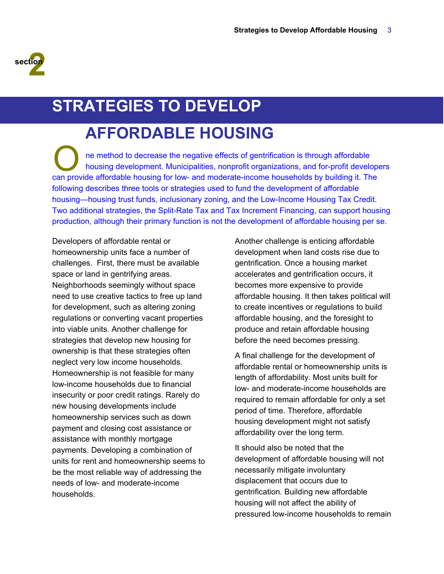<span id="page-10-0"></span>

# **STRATEGIES TO DEVELOP**

# **AFFORDABLE HOUSING**

The method to decrease the negative effects of gentrification is through affordable<br>housing development. Municipalities, nonprofit organizations, and for-profit development<br>and moderate income boundable by building it. The housing development. Municipalities, nonprofit organizations, and for-profit developers can provide affordable housing for low- and moderate-income households by building it. The following describes three tools or strategies used to fund the development of affordable housing—housing trust funds, inclusionary zoning, and the Low-Income Housing Tax Credit. Two additional strategies, the Split-Rate Tax and Tax Increment Financing, can support housing production, although their primary function is not the development of affordable housing per se.

Developers of affordable rental or homeownership units face a number of challenges. First, there must be available space or land in gentrifying areas. Neighborhoods seemingly without space need to use creative tactics to free up land for development, such as altering zoning regulations or converting vacant properties into viable units. Another challenge for strategies that develop new housing for ownership is that these strategies often neglect very low income households. Homeownership is not feasible for many low-income households due to financial insecurity or poor credit ratings. Rarely do new housing developments include homeownership services such as down payment and closing cost assistance or assistance with monthly mortgage payments. Developing a combination of units for rent and homeownership seems to be the most reliable way of addressing the needs of low- and moderate-income households.

Another challenge is enticing affordable development when land costs rise due to gentrification. Once a housing market accelerates and gentrification occurs, it becomes more expensive to provide affordable housing. It then takes political will to create incentives or regulations to build affordable housing, and the foresight to produce and retain affordable housing before the need becomes pressing.

A final challenge for the development of affordable rental or homeownership units is length of affordability. Most units built for low- and moderate-income households are required to remain affordable for only a set period of time. Therefore, affordable housing development might not satisfy affordability over the long term.

It should also be noted that the development of affordable housing will not necessarily mitigate involuntary displacement that occurs due to gentrification. Building new affordable housing will not affect the ability of pressured low-income households to remain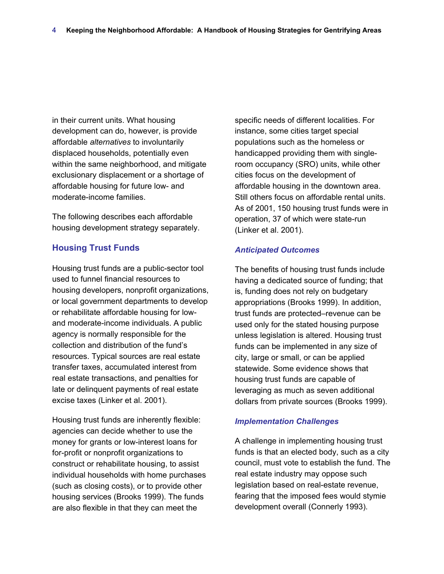<span id="page-11-0"></span>in their current units. What housing development can do, however, is provide affordable *alternatives* to involuntarily displaced households, potentially even within the same neighborhood, and mitigate exclusionary displacement or a shortage of affordable housing for future low- and moderate-income families.

The following describes each affordable housing development strategy separately.

# **Housing Trust Funds**

Housing trust funds are a public-sector tool used to funnel financial resources to housing developers, nonprofit organizations, or local government departments to develop or rehabilitate affordable housing for lowand moderate-income individuals. A public agency is normally responsible for the collection and distribution of the fund's resources. Typical sources are real estate transfer taxes, accumulated interest from real estate transactions, and penalties for late or delinquent payments of real estate excise taxes (Linker et al. 2001).

Housing trust funds are inherently flexible: agencies can decide whether to use the money for grants or low-interest loans for for-profit or nonprofit organizations to construct or rehabilitate housing, to assist individual households with home purchases (such as closing costs), or to provide other housing services (Brooks 1999). The funds are also flexible in that they can meet the

specific needs of different localities. For instance, some cities target special populations such as the homeless or handicapped providing them with singleroom occupancy (SRO) units, while other cities focus on the development of affordable housing in the downtown area. Still others focus on affordable rental units. As of 2001, 150 housing trust funds were in operation, 37 of which were state-run (Linker et al. 2001).

#### *Anticipated Outcomes*

The benefits of housing trust funds include having a dedicated source of funding; that is, funding does not rely on budgetary appropriations (Brooks 1999). In addition, trust funds are protected–revenue can be used only for the stated housing purpose unless legislation is altered. Housing trust funds can be implemented in any size of city, large or small, or can be applied statewide. Some evidence shows that housing trust funds are capable of leveraging as much as seven additional dollars from private sources (Brooks 1999).

#### *Implementation Challenges*

A challenge in implementing housing trust funds is that an elected body, such as a city council, must vote to establish the fund. The real estate industry may oppose such legislation based on real-estate revenue, fearing that the imposed fees would stymie development overall (Connerly 1993).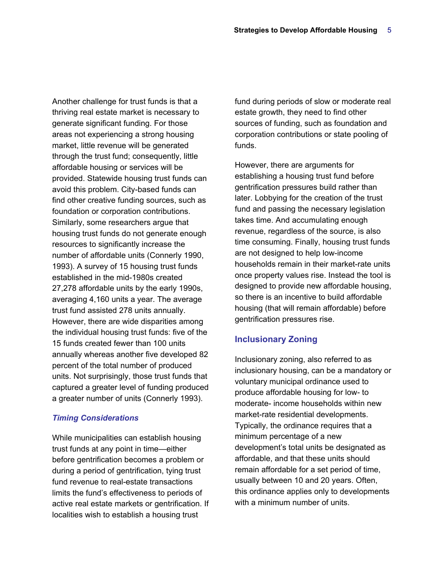<span id="page-12-0"></span>Another challenge for trust funds is that a thriving real estate market is necessary to generate significant funding. For those areas not experiencing a strong housing market, little revenue will be generated through the trust fund; consequently, little affordable housing or services will be provided. Statewide housing trust funds can avoid this problem. City-based funds can find other creative funding sources, such as foundation or corporation contributions. Similarly, some researchers argue that housing trust funds do not generate enough resources to significantly increase the number of affordable units (Connerly 1990, 1993). A survey of 15 housing trust funds established in the mid-1980s created 27,278 affordable units by the early 1990s, averaging 4,160 units a year. The average trust fund assisted 278 units annually. However, there are wide disparities among the individual housing trust funds: five of the 15 funds created fewer than 100 units annually whereas another five developed 82 percent of the total number of produced units. Not surprisingly, those trust funds that captured a greater level of funding produced a greater number of units (Connerly 1993).

#### *Timing Considerations*

While municipalities can establish housing trust funds at any point in time—either before gentrification becomes a problem or during a period of gentrification, tying trust fund revenue to real-estate transactions limits the fund's effectiveness to periods of active real estate markets or gentrification. If localities wish to establish a housing trust

fund during periods of slow or moderate real estate growth, they need to find other sources of funding, such as foundation and corporation contributions or state pooling of funds.

However, there are arguments for establishing a housing trust fund before gentrification pressures build rather than later. Lobbying for the creation of the trust fund and passing the necessary legislation takes time. And accumulating enough revenue, regardless of the source, is also time consuming. Finally, housing trust funds are not designed to help low-income households remain in their market-rate units once property values rise. Instead the tool is designed to provide new affordable housing, so there is an incentive to build affordable housing (that will remain affordable) before gentrification pressures rise.

#### **Inclusionary Zoning**

Inclusionary zoning, also referred to as inclusionary housing, can be a mandatory or voluntary municipal ordinance used to produce affordable housing for low- to moderate- income households within new market-rate residential developments. Typically, the ordinance requires that a minimum percentage of a new development's total units be designated as affordable, and that these units should remain affordable for a set period of time, usually between 10 and 20 years. Often, this ordinance applies only to developments with a minimum number of units.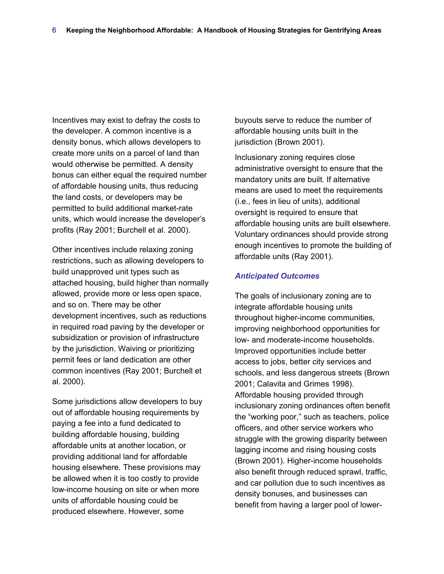Incentives may exist to defray the costs to the developer. A common incentive is a density bonus, which allows developers to create more units on a parcel of land than would otherwise be permitted. A density bonus can either equal the required number of affordable housing units, thus reducing the land costs, or developers may be permitted to build additional market-rate units, which would increase the developer's profits (Ray 2001; Burchell et al. 2000).

Other incentives include relaxing zoning restrictions, such as allowing developers to build unapproved unit types such as attached housing, build higher than normally allowed, provide more or less open space, and so on. There may be other development incentives, such as reductions in required road paving by the developer or subsidization or provision of infrastructure by the jurisdiction. Waiving or prioritizing permit fees or land dedication are other common incentives (Ray 2001; Burchell et al. 2000).

Some jurisdictions allow developers to buy out of affordable housing requirements by paying a fee into a fund dedicated to building affordable housing, building affordable units at another location, or providing additional land for affordable housing elsewhere. These provisions may be allowed when it is too costly to provide low-income housing on site or when more units of affordable housing could be produced elsewhere. However, some

buyouts serve to reduce the number of affordable housing units built in the jurisdiction (Brown 2001).

Inclusionary zoning requires close administrative oversight to ensure that the mandatory units are built. If alternative means are used to meet the requirements (i.e., fees in lieu of units), additional oversight is required to ensure that affordable housing units are built elsewhere. Voluntary ordinances should provide strong enough incentives to promote the building of affordable units (Ray 2001).

#### *Anticipated Outcomes*

The goals of inclusionary zoning are to integrate affordable housing units throughout higher-income communities, improving neighborhood opportunities for low- and moderate-income households. Improved opportunities include better access to jobs, better city services and schools, and less dangerous streets (Brown 2001; Calavita and Grimes 1998). Affordable housing provided through inclusionary zoning ordinances often benefit the "working poor," such as teachers, police officers, and other service workers who struggle with the growing disparity between lagging income and rising housing costs (Brown 2001). Higher-income households also benefit through reduced sprawl, traffic, and car pollution due to such incentives as density bonuses, and businesses can benefit from having a larger pool of lower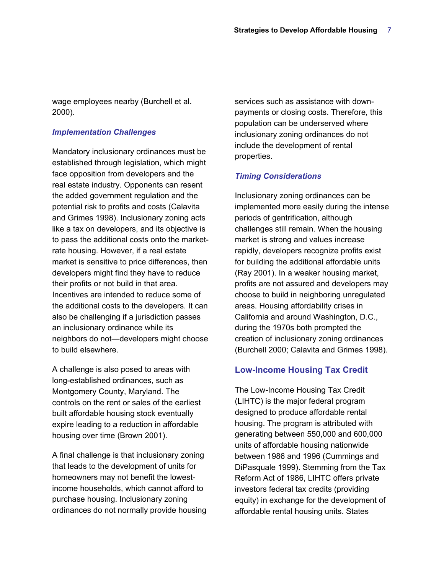<span id="page-14-0"></span>wage employees nearby (Burchell et al. 2000).

#### *Implementation Challenges*

Mandatory inclusionary ordinances must be established through legislation, which might face opposition from developers and the real estate industry. Opponents can resent the added government regulation and the potential risk to profits and costs (Calavita and Grimes 1998). Inclusionary zoning acts like a tax on developers, and its objective is to pass the additional costs onto the marketrate housing. However, if a real estate market is sensitive to price differences, then developers might find they have to reduce their profits or not build in that area. Incentives are intended to reduce some of the additional costs to the developers. It can also be challenging if a jurisdiction passes an inclusionary ordinance while its neighbors do not—developers might choose to build elsewhere.

A challenge is also posed to areas with long-established ordinances, such as Montgomery County, Maryland. The controls on the rent or sales of the earliest built affordable housing stock eventually expire leading to a reduction in affordable housing over time (Brown 2001).

A final challenge is that inclusionary zoning that leads to the development of units for homeowners may not benefit the lowestincome households, which cannot afford to purchase housing. Inclusionary zoning ordinances do not normally provide housing

services such as assistance with downpayments or closing costs. Therefore, this population can be underserved where inclusionary zoning ordinances do not include the development of rental properties.

# *Timing Considerations*

Inclusionary zoning ordinances can be implemented more easily during the intense periods of gentrification, although challenges still remain. When the housing market is strong and values increase rapidly, developers recognize profits exist for building the additional affordable units (Ray 2001). In a weaker housing market, profits are not assured and developers may choose to build in neighboring unregulated areas. Housing affordability crises in California and around Washington, D.C., during the 1970s both prompted the creation of inclusionary zoning ordinances (Burchell 2000; Calavita and Grimes 1998).

# **Low-Income Housing Tax Credit**

The Low-Income Housing Tax Credit (LIHTC) is the major federal program designed to produce affordable rental housing. The program is attributed with generating between 550,000 and 600,000 units of affordable housing nationwide between 1986 and 1996 (Cummings and DiPasquale 1999). Stemming from the Tax Reform Act of 1986, LIHTC offers private investors federal tax credits (providing equity) in exchange for the development of affordable rental housing units. States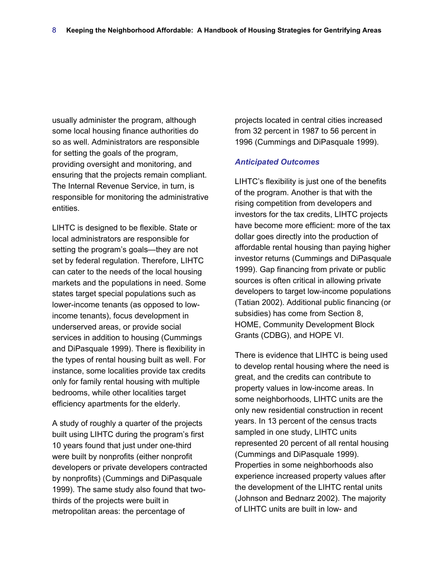usually administer the program, although some local housing finance authorities do so as well. Administrators are responsible for setting the goals of the program, providing oversight and monitoring, and ensuring that the projects remain compliant. The Internal Revenue Service, in turn, is responsible for monitoring the administrative entities.

LIHTC is designed to be flexible. State or local administrators are responsible for setting the program's goals—they are not set by federal regulation. Therefore, LIHTC can cater to the needs of the local housing markets and the populations in need. Some states target special populations such as lower-income tenants (as opposed to lowincome tenants), focus development in underserved areas, or provide social services in addition to housing (Cummings and DiPasquale 1999). There is flexibility in the types of rental housing built as well. For instance, some localities provide tax credits only for family rental housing with multiple bedrooms, while other localities target efficiency apartments for the elderly.

A study of roughly a quarter of the projects built using LIHTC during the program's first 10 years found that just under one-third were built by nonprofits (either nonprofit developers or private developers contracted by nonprofits) (Cummings and DiPasquale 1999). The same study also found that twothirds of the projects were built in metropolitan areas: the percentage of

projects located in central cities increased from 32 percent in 1987 to 56 percent in 1996 (Cummings and DiPasquale 1999).

#### *Anticipated Outcomes*

LIHTC's flexibility is just one of the benefits of the program. Another is that with the rising competition from developers and investors for the tax credits, LIHTC projects have become more efficient: more of the tax dollar goes directly into the production of affordable rental housing than paying higher investor returns (Cummings and DiPasquale 1999). Gap financing from private or public sources is often critical in allowing private developers to target low-income populations (Tatian 2002). Additional public financing (or subsidies) has come from Section 8, HOME, Community Development Block Grants (CDBG), and HOPE VI.

There is evidence that LIHTC is being used to develop rental housing where the need is great, and the credits can contribute to property values in low-income areas. In some neighborhoods, LIHTC units are the only new residential construction in recent years. In 13 percent of the census tracts sampled in one study, LIHTC units represented 20 percent of all rental housing (Cummings and DiPasquale 1999). Properties in some neighborhoods also experience increased property values after the development of the LIHTC rental units (Johnson and Bednarz 2002). The majority of LIHTC units are built in low- and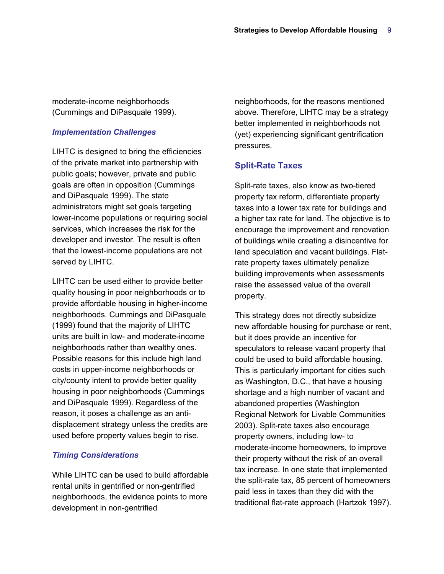<span id="page-16-0"></span>moderate-income neighborhoods (Cummings and DiPasquale 1999).

#### *Implementation Challenges*

LIHTC is designed to bring the efficiencies of the private market into partnership with public goals; however, private and public goals are often in opposition (Cummings and DiPasquale 1999). The state administrators might set goals targeting lower-income populations or requiring social services, which increases the risk for the developer and investor. The result is often that the lowest-income populations are not served by LIHTC.

LIHTC can be used either to provide better quality housing in poor neighborhoods or to provide affordable housing in higher-income neighborhoods. Cummings and DiPasquale (1999) found that the majority of LIHTC units are built in low- and moderate-income neighborhoods rather than wealthy ones. Possible reasons for this include high land costs in upper-income neighborhoods or city/county intent to provide better quality housing in poor neighborhoods (Cummings and DiPasquale 1999). Regardless of the reason, it poses a challenge as an antidisplacement strategy unless the credits are used before property values begin to rise.

#### *Timing Considerations*

While LIHTC can be used to build affordable rental units in gentrified or non-gentrified neighborhoods, the evidence points to more development in non-gentrified

neighborhoods, for the reasons mentioned above. Therefore, LIHTC may be a strategy better implemented in neighborhoods not (yet) experiencing significant gentrification pressures.

# **Split-Rate Taxes**

Split-rate taxes, also know as two-tiered property tax reform, differentiate property taxes into a lower tax rate for buildings and a higher tax rate for land. The objective is to encourage the improvement and renovation of buildings while creating a disincentive for land speculation and vacant buildings. Flatrate property taxes ultimately penalize building improvements when assessments raise the assessed value of the overall property.

This strategy does not directly subsidize new affordable housing for purchase or rent, but it does provide an incentive for speculators to release vacant property that could be used to build affordable housing. This is particularly important for cities such as Washington, D.C., that have a housing shortage and a high number of vacant and abandoned properties (Washington Regional Network for Livable Communities 2003). Split-rate taxes also encourage property owners, including low- to moderate-income homeowners, to improve their property without the risk of an overall tax increase. In one state that implemented the split-rate tax, 85 percent of homeowners paid less in taxes than they did with the traditional flat-rate approach (Hartzok 1997).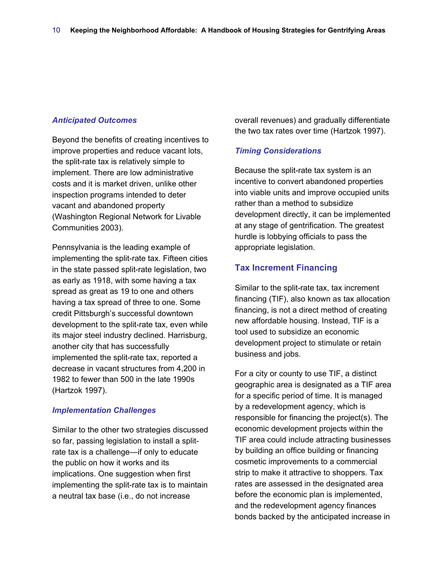#### <span id="page-17-0"></span>*Anticipated Outcomes*

Beyond the benefits of creating incentives to improve properties and reduce vacant lots, the split-rate tax is relatively simple to implement. There are low administrative costs and it is market driven, unlike other inspection programs intended to deter vacant and abandoned property (Washington Regional Network for Livable Communities 2003).

Pennsylvania is the leading example of implementing the split-rate tax. Fifteen cities in the state passed split-rate legislation, two as early as 1918, with some having a tax spread as great as 19 to one and others having a tax spread of three to one. Some credit Pittsburgh's successful downtown development to the split-rate tax, even while its major steel industry declined. Harrisburg, another city that has successfully implemented the split-rate tax, reported a decrease in vacant structures from 4,200 in 1982 to fewer than 500 in the late 1990s (Hartzok 1997).

#### *Implementation Challenges*

Similar to the other two strategies discussed so far, passing legislation to install a splitrate tax is a challenge—if only to educate the public on how it works and its implications. One suggestion when first implementing the split-rate tax is to maintain a neutral tax base (i.e., do not increase

overall revenues) and gradually differentiate the two tax rates over time (Hartzok 1997).

#### *Timing Considerations*

Because the split-rate tax system is an incentive to convert abandoned properties into viable units and improve occupied units rather than a method to subsidize development directly, it can be implemented at any stage of gentrification. The greatest hurdle is lobbying officials to pass the appropriate legislation.

# **Tax Increment Financing**

Similar to the split-rate tax, tax increment financing (TIF), also known as tax allocation financing, is not a direct method of creating new affordable housing. Instead, TIF is a tool used to subsidize an economic development project to stimulate or retain business and jobs.

For a city or county to use TIF, a distinct geographic area is designated as a TIF area for a specific period of time. It is managed by a redevelopment agency, which is responsible for financing the project(s). The economic development projects within the TIF area could include attracting businesses by building an office building or financing cosmetic improvements to a commercial strip to make it attractive to shoppers. Tax rates are assessed in the designated area before the economic plan is implemented, and the redevelopment agency finances bonds backed by the anticipated increase in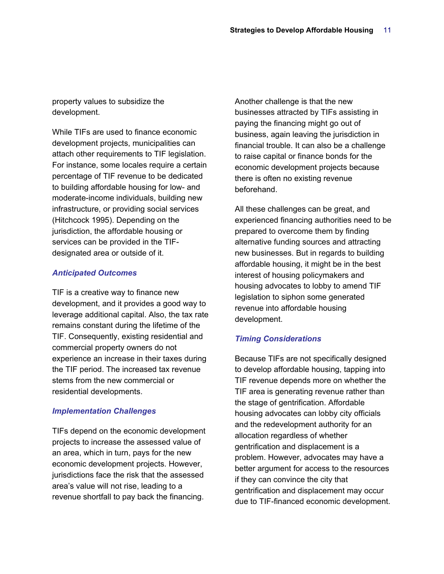property values to subsidize the development.

While TIFs are used to finance economic development projects, municipalities can attach other requirements to TIF legislation. For instance, some locales require a certain percentage of TIF revenue to be dedicated to building affordable housing for low- and moderate-income individuals, building new infrastructure, or providing social services (Hitchcock 1995). Depending on the jurisdiction, the affordable housing or services can be provided in the TIFdesignated area or outside of it.

### *Anticipated Outcomes*

TIF is a creative way to finance new development, and it provides a good way to leverage additional capital. Also, the tax rate remains constant during the lifetime of the TIF. Consequently, existing residential and commercial property owners do not experience an increase in their taxes during the TIF period. The increased tax revenue stems from the new commercial or residential developments.

# *Implementation Challenges*

TIFs depend on the economic development projects to increase the assessed value of an area, which in turn, pays for the new economic development projects. However, jurisdictions face the risk that the assessed area's value will not rise, leading to a revenue shortfall to pay back the financing.

Another challenge is that the new businesses attracted by TIFs assisting in paying the financing might go out of business, again leaving the jurisdiction in financial trouble. It can also be a challenge to raise capital or finance bonds for the economic development projects because there is often no existing revenue beforehand.

All these challenges can be great, and experienced financing authorities need to be prepared to overcome them by finding alternative funding sources and attracting new businesses. But in regards to building affordable housing, it might be in the best interest of housing policymakers and housing advocates to lobby to amend TIF legislation to siphon some generated revenue into affordable housing development.

# *Timing Considerations*

Because TIFs are not specifically designed to develop affordable housing, tapping into TIF revenue depends more on whether the TIF area is generating revenue rather than the stage of gentrification. Affordable housing advocates can lobby city officials and the redevelopment authority for an allocation regardless of whether gentrification and displacement is a problem. However, advocates may have a better argument for access to the resources if they can convince the city that gentrification and displacement may occur due to TIF-financed economic development.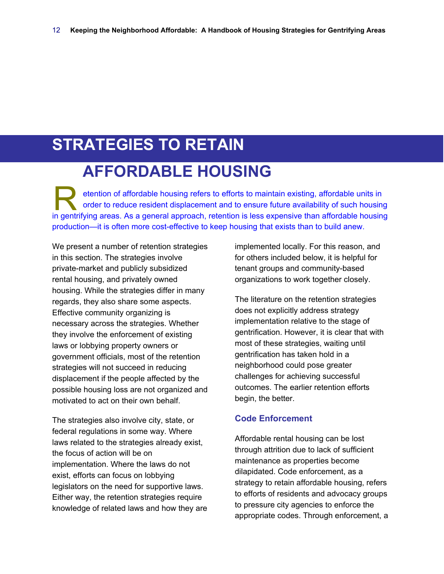# <span id="page-19-0"></span>**STRATEGIES TO RETAIN**

# **AFFORDABLE HOUSING**

Externtion of affordable housing refers to efforts to maintain existing, affordable units in order to reduce resident displacement and to ensure future availability of such housing in gentrifying areas. As a general approa order to reduce resident displacement and to ensure future availability of such housing in gentrifying areas. As a general approach, retention is less expensive than affordable housing production—it is often more cost-effective to keep housing that exists than to build anew.

We present a number of retention strategies in this section. The strategies involve private-market and publicly subsidized rental housing, and privately owned housing. While the strategies differ in many regards, they also share some aspects. Effective community organizing is necessary across the strategies. Whether they involve the enforcement of existing laws or lobbying property owners or government officials, most of the retention strategies will not succeed in reducing displacement if the people affected by the possible housing loss are not organized and motivated to act on their own behalf.

The strategies also involve city, state, or federal regulations in some way. Where laws related to the strategies already exist, the focus of action will be on implementation. Where the laws do not exist, efforts can focus on lobbying legislators on the need for supportive laws. Either way, the retention strategies require knowledge of related laws and how they are

implemented locally. For this reason, and for others included below, it is helpful for tenant groups and community-based organizations to work together closely.

The literature on the retention strategies does not explicitly address strategy implementation relative to the stage of gentrification. However, it is clear that with most of these strategies, waiting until gentrification has taken hold in a neighborhood could pose greater challenges for achieving successful outcomes. The earlier retention efforts begin, the better.

#### **Code Enforcement**

Affordable rental housing can be lost through attrition due to lack of sufficient maintenance as properties become dilapidated. Code enforcement, as a strategy to retain affordable housing, refers to efforts of residents and advocacy groups to pressure city agencies to enforce the appropriate codes. Through enforcement, a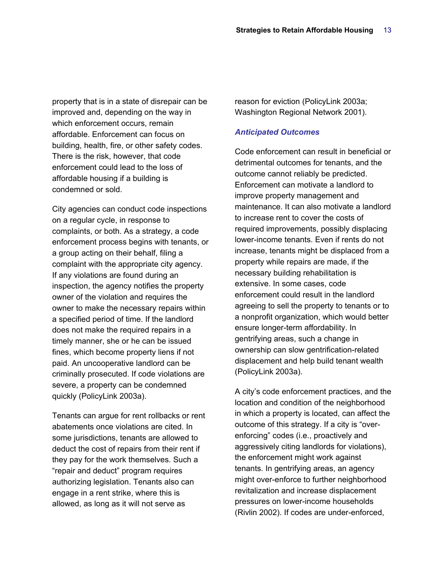property that is in a state of disrepair can be improved and, depending on the way in which enforcement occurs, remain affordable. Enforcement can focus on building, health, fire, or other safety codes. There is the risk, however, that code enforcement could lead to the loss of affordable housing if a building is condemned or sold.

City agencies can conduct code inspections on a regular cycle, in response to complaints, or both. As a strategy, a code enforcement process begins with tenants, or a group acting on their behalf, filing a complaint with the appropriate city agency. If any violations are found during an inspection, the agency notifies the property owner of the violation and requires the owner to make the necessary repairs within a specified period of time. If the landlord does not make the required repairs in a timely manner, she or he can be issued fines, which become property liens if not paid. An uncooperative landlord can be criminally prosecuted. If code violations are severe, a property can be condemned quickly (PolicyLink 2003a).

Tenants can argue for rent rollbacks or rent abatements once violations are cited. In some jurisdictions, tenants are allowed to deduct the cost of repairs from their rent if they pay for the work themselves. Such a "repair and deduct" program requires authorizing legislation. Tenants also can engage in a rent strike, where this is allowed, as long as it will not serve as

reason for eviction (PolicyLink 2003a; Washington Regional Network 2001).

#### *Anticipated Outcomes*

Code enforcement can result in beneficial or detrimental outcomes for tenants, and the outcome cannot reliably be predicted. Enforcement can motivate a landlord to improve property management and maintenance. It can also motivate a landlord to increase rent to cover the costs of required improvements, possibly displacing lower-income tenants. Even if rents do not increase, tenants might be displaced from a property while repairs are made, if the necessary building rehabilitation is extensive. In some cases, code enforcement could result in the landlord agreeing to sell the property to tenants or to a nonprofit organization, which would better ensure longer-term affordability. In gentrifying areas, such a change in ownership can slow gentrification-related displacement and help build tenant wealth (PolicyLink 2003a).

A city's code enforcement practices, and the location and condition of the neighborhood in which a property is located, can affect the outcome of this strategy. If a city is "overenforcing" codes (i.e., proactively and aggressively citing landlords for violations), the enforcement might work against tenants. In gentrifying areas, an agency might over-enforce to further neighborhood revitalization and increase displacement pressures on lower-income households (Rivlin 2002). If codes are under-enforced,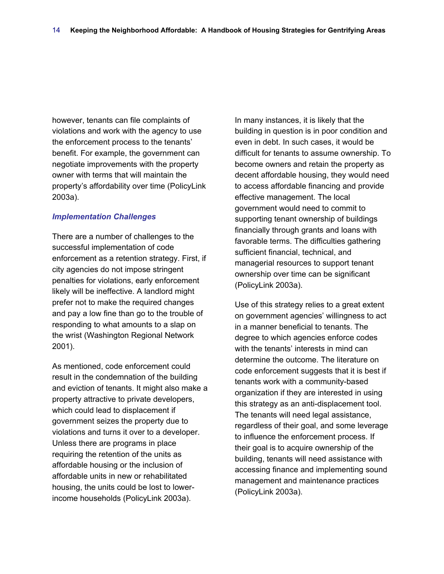however, tenants can file complaints of violations and work with the agency to use the enforcement process to the tenants' benefit. For example, the government can negotiate improvements with the property owner with terms that will maintain the property's affordability over time (PolicyLink 2003a).

#### *Implementation Challenges*

There are a number of challenges to the successful implementation of code enforcement as a retention strategy. First, if city agencies do not impose stringent penalties for violations, early enforcement likely will be ineffective. A landlord might prefer not to make the required changes and pay a low fine than go to the trouble of responding to what amounts to a slap on the wrist (Washington Regional Network 2001).

As mentioned, code enforcement could result in the condemnation of the building and eviction of tenants. It might also make a property attractive to private developers, which could lead to displacement if government seizes the property due to violations and turns it over to a developer. Unless there are programs in place requiring the retention of the units as affordable housing or the inclusion of affordable units in new or rehabilitated housing, the units could be lost to lowerincome households (PolicyLink 2003a).

In many instances, it is likely that the building in question is in poor condition and even in debt. In such cases, it would be difficult for tenants to assume ownership. To become owners and retain the property as decent affordable housing, they would need to access affordable financing and provide effective management. The local government would need to commit to supporting tenant ownership of buildings financially through grants and loans with favorable terms. The difficulties gathering sufficient financial, technical, and managerial resources to support tenant ownership over time can be significant (PolicyLink 2003a).

Use of this strategy relies to a great extent on government agencies' willingness to act in a manner beneficial to tenants. The degree to which agencies enforce codes with the tenants' interests in mind can determine the outcome. The literature on code enforcement suggests that it is best if tenants work with a community-based organization if they are interested in using this strategy as an anti-displacement tool. The tenants will need legal assistance, regardless of their goal, and some leverage to influence the enforcement process. If their goal is to acquire ownership of the building, tenants will need assistance with accessing finance and implementing sound management and maintenance practices (PolicyLink 2003a).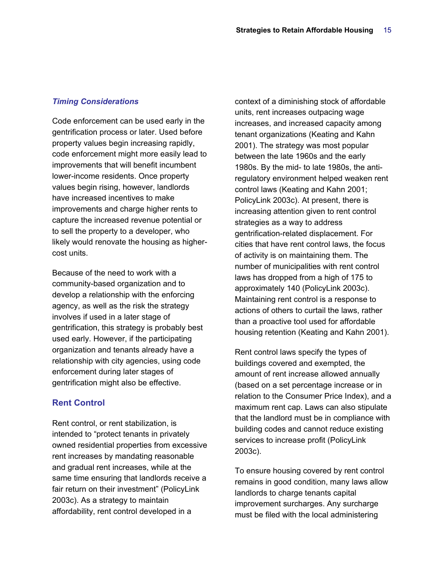#### <span id="page-22-0"></span>*Timing Considerations*

Code enforcement can be used early in the gentrification process or later. Used before property values begin increasing rapidly, code enforcement might more easily lead to improvements that will benefit incumbent lower-income residents. Once property values begin rising, however, landlords have increased incentives to make improvements and charge higher rents to capture the increased revenue potential or to sell the property to a developer, who likely would renovate the housing as highercost units.

Because of the need to work with a community-based organization and to develop a relationship with the enforcing agency, as well as the risk the strategy involves if used in a later stage of gentrification, this strategy is probably best used early. However, if the participating organization and tenants already have a relationship with city agencies, using code enforcement during later stages of gentrification might also be effective.

#### **Rent Control**

Rent control, or rent stabilization, is intended to "protect tenants in privately owned residential properties from excessive rent increases by mandating reasonable and gradual rent increases, while at the same time ensuring that landlords receive a fair return on their investment" (PolicyLink 2003c). As a strategy to maintain affordability, rent control developed in a

context of a diminishing stock of affordable units, rent increases outpacing wage increases, and increased capacity among tenant organizations (Keating and Kahn 2001). The strategy was most popular between the late 1960s and the early 1980s. By the mid- to late 1980s, the antiregulatory environment helped weaken rent control laws (Keating and Kahn 2001; PolicyLink 2003c). At present, there is increasing attention given to rent control strategies as a way to address gentrification-related displacement. For cities that have rent control laws, the focus of activity is on maintaining them. The number of municipalities with rent control laws has dropped from a high of 175 to approximately 140 (PolicyLink 2003c). Maintaining rent control is a response to actions of others to curtail the laws, rather than a proactive tool used for affordable housing retention (Keating and Kahn 2001).

Rent control laws specify the types of buildings covered and exempted, the amount of rent increase allowed annually (based on a set percentage increase or in relation to the Consumer Price Index), and a maximum rent cap. Laws can also stipulate that the landlord must be in compliance with building codes and cannot reduce existing services to increase profit (PolicyLink 2003c).

To ensure housing covered by rent control remains in good condition, many laws allow landlords to charge tenants capital improvement surcharges. Any surcharge must be filed with the local administering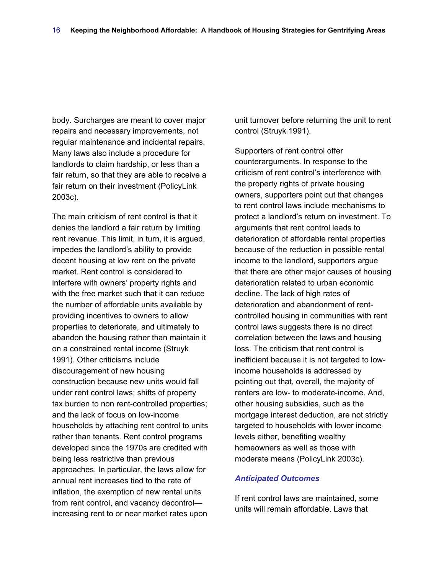body. Surcharges are meant to cover major repairs and necessary improvements, not regular maintenance and incidental repairs. Many laws also include a procedure for landlords to claim hardship, or less than a fair return, so that they are able to receive a fair return on their investment (PolicyLink 2003c).

The main criticism of rent control is that it denies the landlord a fair return by limiting rent revenue. This limit, in turn, it is argued, impedes the landlord's ability to provide decent housing at low rent on the private market. Rent control is considered to interfere with owners' property rights and with the free market such that it can reduce the number of affordable units available by providing incentives to owners to allow properties to deteriorate, and ultimately to abandon the housing rather than maintain it on a constrained rental income (Struyk 1991). Other criticisms include discouragement of new housing construction because new units would fall under rent control laws; shifts of property tax burden to non rent-controlled properties; and the lack of focus on low-income households by attaching rent control to units rather than tenants. Rent control programs developed since the 1970s are credited with being less restrictive than previous approaches. In particular, the laws allow for annual rent increases tied to the rate of inflation, the exemption of new rental units from rent control, and vacancy decontrol increasing rent to or near market rates upon

unit turnover before returning the unit to rent control (Struyk 1991).

Supporters of rent control offer counterarguments. In response to the criticism of rent control's interference with the property rights of private housing owners, supporters point out that changes to rent control laws include mechanisms to protect a landlord's return on investment. To arguments that rent control leads to deterioration of affordable rental properties because of the reduction in possible rental income to the landlord, supporters argue that there are other major causes of housing deterioration related to urban economic decline. The lack of high rates of deterioration and abandonment of rentcontrolled housing in communities with rent control laws suggests there is no direct correlation between the laws and housing loss. The criticism that rent control is inefficient because it is not targeted to lowincome households is addressed by pointing out that, overall, the majority of renters are low- to moderate-income. And, other housing subsidies, such as the mortgage interest deduction, are not strictly targeted to households with lower income levels either, benefiting wealthy homeowners as well as those with moderate means (PolicyLink 2003c).

#### *Anticipated Outcomes*

If rent control laws are maintained, some units will remain affordable. Laws that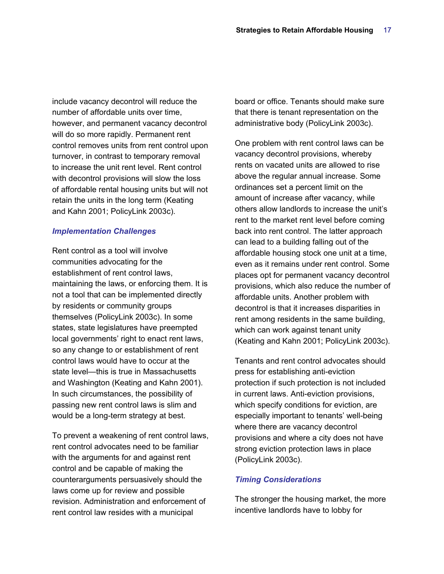include vacancy decontrol will reduce the number of affordable units over time, however, and permanent vacancy decontrol will do so more rapidly. Permanent rent control removes units from rent control upon turnover, in contrast to temporary removal to increase the unit rent level. Rent control with decontrol provisions will slow the loss of affordable rental housing units but will not retain the units in the long term (Keating and Kahn 2001; PolicyLink 2003c).

#### *Implementation Challenges*

Rent control as a tool will involve communities advocating for the establishment of rent control laws, maintaining the laws, or enforcing them. It is not a tool that can be implemented directly by residents or community groups themselves (PolicyLink 2003c). In some states, state legislatures have preempted local governments' right to enact rent laws, so any change to or establishment of rent control laws would have to occur at the state level—this is true in Massachusetts and Washington (Keating and Kahn 2001). In such circumstances, the possibility of passing new rent control laws is slim and would be a long-term strategy at best.

To prevent a weakening of rent control laws, rent control advocates need to be familiar with the arguments for and against rent control and be capable of making the counterarguments persuasively should the laws come up for review and possible revision. Administration and enforcement of rent control law resides with a municipal

board or office. Tenants should make sure that there is tenant representation on the administrative body (PolicyLink 2003c).

One problem with rent control laws can be vacancy decontrol provisions, whereby rents on vacated units are allowed to rise above the regular annual increase. Some ordinances set a percent limit on the amount of increase after vacancy, while others allow landlords to increase the unit's rent to the market rent level before coming back into rent control. The latter approach can lead to a building falling out of the affordable housing stock one unit at a time, even as it remains under rent control. Some places opt for permanent vacancy decontrol provisions, which also reduce the number of affordable units. Another problem with decontrol is that it increases disparities in rent among residents in the same building, which can work against tenant unity (Keating and Kahn 2001; PolicyLink 2003c).

Tenants and rent control advocates should press for establishing anti-eviction protection if such protection is not included in current laws. Anti-eviction provisions, which specify conditions for eviction, are especially important to tenants' well-being where there are vacancy decontrol provisions and where a city does not have strong eviction protection laws in place (PolicyLink 2003c).

#### *Timing Considerations*

The stronger the housing market, the more incentive landlords have to lobby for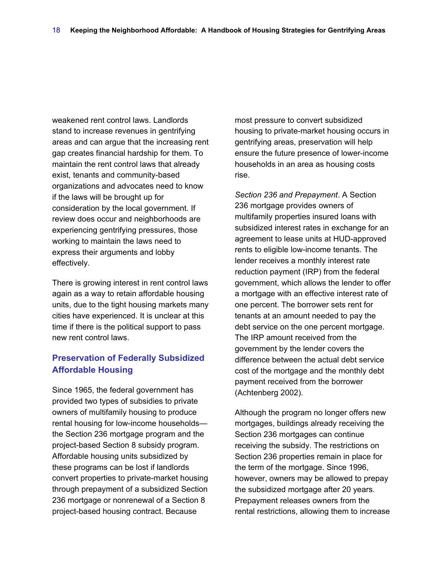<span id="page-25-0"></span>weakened rent control laws. Landlords stand to increase revenues in gentrifying areas and can argue that the increasing rent gap creates financial hardship for them. To maintain the rent control laws that already exist, tenants and community-based organizations and advocates need to know if the laws will be brought up for consideration by the local government. If review does occur and neighborhoods are experiencing gentrifying pressures, those working to maintain the laws need to express their arguments and lobby effectively.

There is growing interest in rent control laws again as a way to retain affordable housing units, due to the tight housing markets many cities have experienced. It is unclear at this time if there is the political support to pass new rent control laws.

# **Preservation of Federally Subsidized Affordable Housing**

Since 1965, the federal government has provided two types of subsidies to private owners of multifamily housing to produce rental housing for low-income households the Section 236 mortgage program and the project-based Section 8 subsidy program. Affordable housing units subsidized by these programs can be lost if landlords convert properties to private-market housing through prepayment of a subsidized Section 236 mortgage or nonrenewal of a Section 8 project-based housing contract. Because

most pressure to convert subsidized housing to private-market housing occurs in gentrifying areas, preservation will help ensure the future presence of lower-income households in an area as housing costs rise.

*Section 236 and Prepayment*. A Section 236 mortgage provides owners of multifamily properties insured loans with subsidized interest rates in exchange for an agreement to lease units at HUD-approved rents to eligible low-income tenants. The lender receives a monthly interest rate reduction payment (IRP) from the federal government, which allows the lender to offer a mortgage with an effective interest rate of one percent. The borrower sets rent for tenants at an amount needed to pay the debt service on the one percent mortgage. The IRP amount received from the government by the lender covers the difference between the actual debt service cost of the mortgage and the monthly debt payment received from the borrower (Achtenberg 2002).

Although the program no longer offers new mortgages, buildings already receiving the Section 236 mortgages can continue receiving the subsidy. The restrictions on Section 236 properties remain in place for the term of the mortgage. Since 1996, however, owners may be allowed to prepay the subsidized mortgage after 20 years. Prepayment releases owners from the rental restrictions, allowing them to increase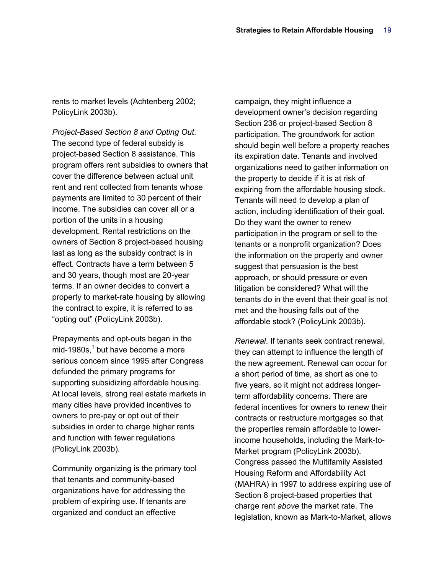rents to market levels (Achtenberg 2002; PolicyLink 2003b).

*Project-Based Section 8 and Opting Out*. The second type of federal subsidy is project-based Section 8 assistance. This program offers rent subsidies to owners that cover the difference between actual unit rent and rent collected from tenants whose payments are limited to 30 percent of their income. The subsidies can cover all or a portion of the units in a housing development. Rental restrictions on the owners of Section 8 project-based housing last as long as the subsidy contract is in effect. Contracts have a term between 5 and 30 years, though most are 20-year terms. If an owner decides to convert a property to market-rate housing by allowing the contract to expire, it is referred to as "opting out" (PolicyLink 2003b).

Prepayments and opt-outs began in the mid-[1](#page-49-1)980s, $1$  but have become a more serious concern since 1995 after Congress defunded the primary programs for supporting subsidizing affordable housing. At local levels, strong real estate markets in many cities have provided incentives to owners to pre-pay or opt out of their subsidies in order to charge higher rents and function with fewer regulations (PolicyLink 2003b).

Community organizing is the primary tool that tenants and community-based organizations have for addressing the problem of expiring use. If tenants are organized and conduct an effective

campaign, they might influence a development owner's decision regarding Section 236 or project-based Section 8 participation. The groundwork for action should begin well before a property reaches its expiration date. Tenants and involved organizations need to gather information on the property to decide if it is at risk of expiring from the affordable housing stock. Tenants will need to develop a plan of action, including identification of their goal. Do they want the owner to renew participation in the program or sell to the tenants or a nonprofit organization? Does the information on the property and owner suggest that persuasion is the best approach, or should pressure or even litigation be considered? What will the tenants do in the event that their goal is not met and the housing falls out of the affordable stock? (PolicyLink 2003b).

*Renewal*. If tenants seek contract renewal, they can attempt to influence the length of the new agreement. Renewal can occur for a short period of time, as short as one to five years, so it might not address longerterm affordability concerns. There are federal incentives for owners to renew their contracts or restructure mortgages so that the properties remain affordable to lowerincome households, including the Mark-to-Market program (PolicyLink 2003b). Congress passed the Multifamily Assisted Housing Reform and Affordability Act (MAHRA) in 1997 to address expiring use of Section 8 project-based properties that charge rent *above* the market rate. The legislation, known as Mark-to-Market, allows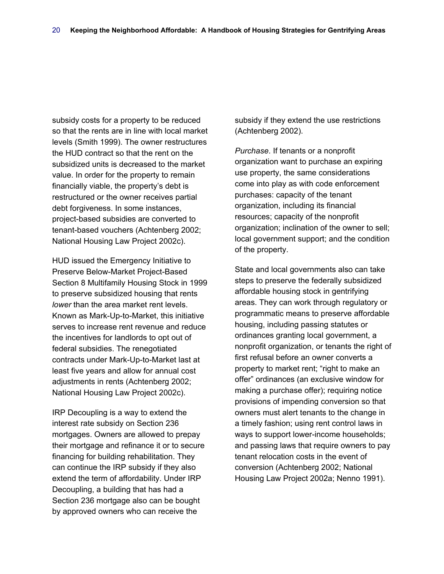subsidy costs for a property to be reduced so that the rents are in line with local market levels (Smith 1999). The owner restructures the HUD contract so that the rent on the subsidized units is decreased to the market value. In order for the property to remain financially viable, the property's debt is restructured or the owner receives partial debt forgiveness. In some instances, project-based subsidies are converted to tenant-based vouchers (Achtenberg 2002; National Housing Law Project 2002c).

HUD issued the Emergency Initiative to Preserve Below-Market Project-Based Section 8 Multifamily Housing Stock in 1999 to preserve subsidized housing that rents *lower* than the area market rent levels. Known as Mark-Up-to-Market, this initiative serves to increase rent revenue and reduce the incentives for landlords to opt out of federal subsidies. The renegotiated contracts under Mark-Up-to-Market last at least five years and allow for annual cost adjustments in rents (Achtenberg 2002; National Housing Law Project 2002c).

IRP Decoupling is a way to extend the interest rate subsidy on Section 236 mortgages. Owners are allowed to prepay their mortgage and refinance it or to secure financing for building rehabilitation. They can continue the IRP subsidy if they also extend the term of affordability. Under IRP Decoupling, a building that has had a Section 236 mortgage also can be bought by approved owners who can receive the

subsidy if they extend the use restrictions (Achtenberg 2002).

*Purchase*. If tenants or a nonprofit organization want to purchase an expiring use property, the same considerations come into play as with code enforcement purchases: capacity of the tenant organization, including its financial resources; capacity of the nonprofit organization; inclination of the owner to sell; local government support; and the condition of the property.

State and local governments also can take steps to preserve the federally subsidized affordable housing stock in gentrifying areas. They can work through regulatory or programmatic means to preserve affordable housing, including passing statutes or ordinances granting local government, a nonprofit organization, or tenants the right of first refusal before an owner converts a property to market rent; "right to make an offer" ordinances (an exclusive window for making a purchase offer); requiring notice provisions of impending conversion so that owners must alert tenants to the change in a timely fashion; using rent control laws in ways to support lower-income households; and passing laws that require owners to pay tenant relocation costs in the event of conversion (Achtenberg 2002; National Housing Law Project 2002a; Nenno 1991).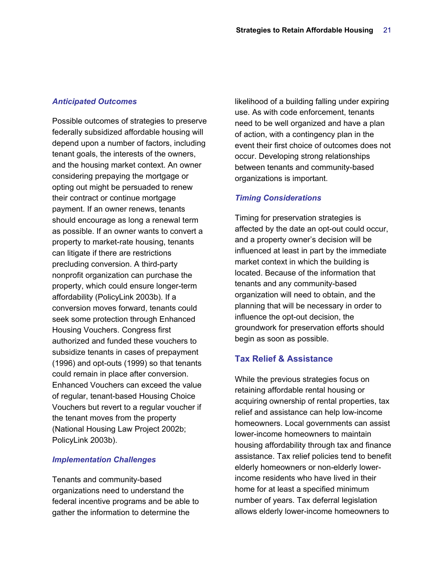#### <span id="page-28-0"></span>*Anticipated Outcomes*

Possible outcomes of strategies to preserve federally subsidized affordable housing will depend upon a number of factors, including tenant goals, the interests of the owners, and the housing market context. An owner considering prepaying the mortgage or opting out might be persuaded to renew their contract or continue mortgage payment. If an owner renews, tenants should encourage as long a renewal term as possible. If an owner wants to convert a property to market-rate housing, tenants can litigate if there are restrictions precluding conversion. A third-party nonprofit organization can purchase the property, which could ensure longer-term affordability (PolicyLink 2003b). If a conversion moves forward, tenants could seek some protection through Enhanced Housing Vouchers. Congress first authorized and funded these vouchers to subsidize tenants in cases of prepayment (1996) and opt-outs (1999) so that tenants could remain in place after conversion. Enhanced Vouchers can exceed the value of regular, tenant-based Housing Choice Vouchers but revert to a regular voucher if the tenant moves from the property (National Housing Law Project 2002b; PolicyLink 2003b).

#### *Implementation Challenges*

Tenants and community-based organizations need to understand the federal incentive programs and be able to gather the information to determine the

likelihood of a building falling under expiring use. As with code enforcement, tenants need to be well organized and have a plan of action, with a contingency plan in the event their first choice of outcomes does not occur. Developing strong relationships between tenants and community-based organizations is important.

#### *Timing Considerations*

Timing for preservation strategies is affected by the date an opt-out could occur, and a property owner's decision will be influenced at least in part by the immediate market context in which the building is located. Because of the information that tenants and any community-based organization will need to obtain, and the planning that will be necessary in order to influence the opt-out decision, the groundwork for preservation efforts should begin as soon as possible.

#### **Tax Relief & Assistance**

While the previous strategies focus on retaining affordable rental housing or acquiring ownership of rental properties, tax relief and assistance can help low-income homeowners. Local governments can assist lower-income homeowners to maintain housing affordability through tax and finance assistance. Tax relief policies tend to benefit elderly homeowners or non-elderly lowerincome residents who have lived in their home for at least a specified minimum number of years. Tax deferral legislation allows elderly lower-income homeowners to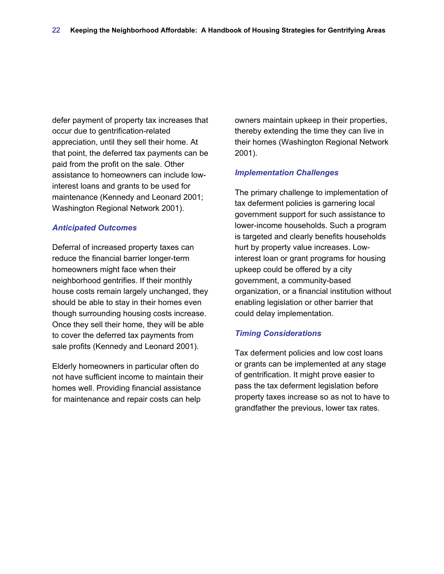defer payment of property tax increases that occur due to gentrification-related appreciation, until they sell their home. At that point, the deferred tax payments can be paid from the profit on the sale. Other assistance to homeowners can include lowinterest loans and grants to be used for maintenance (Kennedy and Leonard 2001; Washington Regional Network 2001).

#### *Anticipated Outcomes*

Deferral of increased property taxes can reduce the financial barrier longer-term homeowners might face when their neighborhood gentrifies. If their monthly house costs remain largely unchanged, they should be able to stay in their homes even though surrounding housing costs increase. Once they sell their home, they will be able to cover the deferred tax payments from sale profits (Kennedy and Leonard 2001).

Elderly homeowners in particular often do not have sufficient income to maintain their homes well. Providing financial assistance for maintenance and repair costs can help

owners maintain upkeep in their properties, thereby extending the time they can live in their homes (Washington Regional Network 2001).

#### *Implementation Challenges*

The primary challenge to implementation of tax deferment policies is garnering local government support for such assistance to lower-income households. Such a program is targeted and clearly benefits households hurt by property value increases. Lowinterest loan or grant programs for housing upkeep could be offered by a city government, a community-based organization, or a financial institution without enabling legislation or other barrier that could delay implementation.

#### *Timing Considerations*

Tax deferment policies and low cost loans or grants can be implemented at any stage of gentrification. It might prove easier to pass the tax deferment legislation before property taxes increase so as not to have to grandfather the previous, lower tax rates.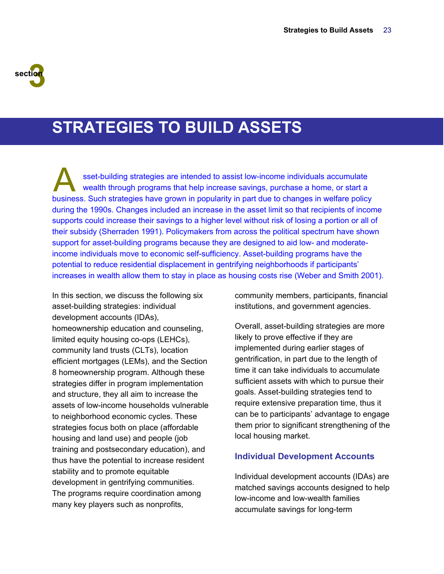<span id="page-30-0"></span>

# **STRATEGIES TO BUILD ASSETS**

sset-building strategies are intended to assist low-income individuals accumulate wealth through programs that help increase savings, purchase a home, or start a business. Such strategies have grown in popularity in part due to changes in welfare policy during the 1990s. Changes included an increase in the asset limit so that recipients of income supports could increase their savings to a higher level without risk of losing a portion or all of their subsidy (Sherraden 1991). Policymakers from across the political spectrum have shown support for asset-building programs because they are designed to aid low- and moderateincome individuals move to economic self-sufficiency. Asset-building programs have the potential to reduce residential displacement in gentrifying neighborhoods if participants' increases in wealth allow them to stay in place as housing costs rise (Weber and Smith 2001).

In this section, we discuss the following six asset-building strategies: individual development accounts (IDAs), homeownership education and counseling, limited equity housing co-ops (LEHCs), community land trusts (CLTs), location efficient mortgages (LEMs), and the Section 8 homeownership program. Although these strategies differ in program implementation and structure, they all aim to increase the assets of low-income households vulnerable to neighborhood economic cycles. These strategies focus both on place (affordable housing and land use) and people (job training and postsecondary education), and thus have the potential to increase resident stability and to promote equitable development in gentrifying communities. The programs require coordination among many key players such as nonprofits,

community members, participants, financial institutions, and government agencies.

Overall, asset-building strategies are more likely to prove effective if they are implemented during earlier stages of gentrification, in part due to the length of time it can take individuals to accumulate sufficient assets with which to pursue their goals. Asset-building strategies tend to require extensive preparation time, thus it can be to participants' advantage to engage them prior to significant strengthening of the local housing market.

#### **Individual Development Accounts**

Individual development accounts (IDAs) are matched savings accounts designed to help low-income and low-wealth families accumulate savings for long-term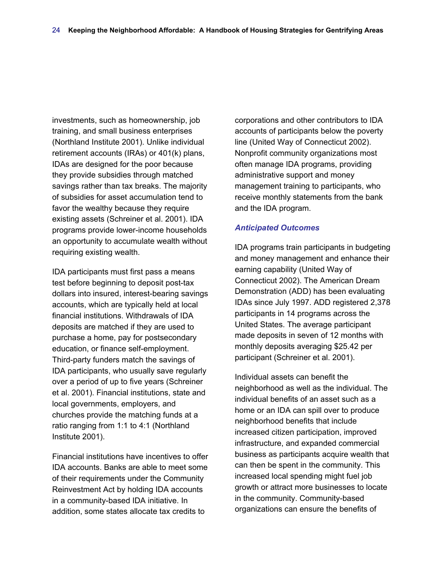investments, such as homeownership, job training, and small business enterprises (Northland Institute 2001). Unlike individual retirement accounts (IRAs) or 401(k) plans, IDAs are designed for the poor because they provide subsidies through matched savings rather than tax breaks. The majority of subsidies for asset accumulation tend to favor the wealthy because they require existing assets (Schreiner et al. 2001). IDA programs provide lower-income households an opportunity to accumulate wealth without requiring existing wealth.

IDA participants must first pass a means test before beginning to deposit post-tax dollars into insured, interest-bearing savings accounts, which are typically held at local financial institutions. Withdrawals of IDA deposits are matched if they are used to purchase a home, pay for postsecondary education, or finance self-employment. Third-party funders match the savings of IDA participants, who usually save regularly over a period of up to five years (Schreiner et al. 2001). Financial institutions, state and local governments, employers, and churches provide the matching funds at a ratio ranging from 1:1 to 4:1 (Northland Institute 2001).

Financial institutions have incentives to offer IDA accounts. Banks are able to meet some of their requirements under the Community Reinvestment Act by holding IDA accounts in a community-based IDA initiative. In addition, some states allocate tax credits to

corporations and other contributors to IDA accounts of participants below the poverty line (United Way of Connecticut 2002). Nonprofit community organizations most often manage IDA programs, providing administrative support and money management training to participants, who receive monthly statements from the bank and the IDA program.

#### *Anticipated Outcomes*

IDA programs train participants in budgeting and money management and enhance their earning capability (United Way of Connecticut 2002). The American Dream Demonstration (ADD) has been evaluating IDAs since July 1997. ADD registered 2,378 participants in 14 programs across the United States. The average participant made deposits in seven of 12 months with monthly deposits averaging \$25.42 per participant (Schreiner et al. 2001).

Individual assets can benefit the neighborhood as well as the individual. The individual benefits of an asset such as a home or an IDA can spill over to produce neighborhood benefits that include increased citizen participation, improved infrastructure, and expanded commercial business as participants acquire wealth that can then be spent in the community. This increased local spending might fuel job growth or attract more businesses to locate in the community. Community-based organizations can ensure the benefits of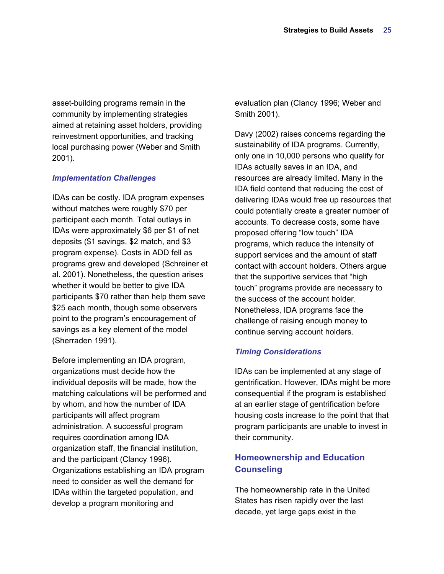<span id="page-32-0"></span>asset-building programs remain in the community by implementing strategies aimed at retaining asset holders, providing reinvestment opportunities, and tracking local purchasing power (Weber and Smith 2001).

#### *Implementation Challenges*

IDAs can be costly. IDA program expenses without matches were roughly \$70 per participant each month. Total outlays in IDAs were approximately \$6 per \$1 of net deposits (\$1 savings, \$2 match, and \$3 program expense). Costs in ADD fell as programs grew and developed (Schreiner et al. 2001). Nonetheless, the question arises whether it would be better to give IDA participants \$70 rather than help them save \$25 each month, though some observers point to the program's encouragement of savings as a key element of the model (Sherraden 1991).

Before implementing an IDA program, organizations must decide how the individual deposits will be made, how the matching calculations will be performed and by whom, and how the number of IDA participants will affect program administration. A successful program requires coordination among IDA organization staff, the financial institution, and the participant (Clancy 1996). Organizations establishing an IDA program need to consider as well the demand for IDAs within the targeted population, and develop a program monitoring and

evaluation plan (Clancy 1996; Weber and Smith 2001).

Davy (2002) raises concerns regarding the sustainability of IDA programs. Currently, only one in 10,000 persons who qualify for IDAs actually saves in an IDA, and resources are already limited. Many in the IDA field contend that reducing the cost of delivering IDAs would free up resources that could potentially create a greater number of accounts. To decrease costs, some have proposed offering "low touch" IDA programs, which reduce the intensity of support services and the amount of staff contact with account holders. Others argue that the supportive services that "high touch" programs provide are necessary to the success of the account holder. Nonetheless, IDA programs face the challenge of raising enough money to continue serving account holders.

#### *Timing Considerations*

IDAs can be implemented at any stage of gentrification. However, IDAs might be more consequential if the program is established at an earlier stage of gentrification before housing costs increase to the point that that program participants are unable to invest in their community.

# **Homeownership and Education Counseling**

The homeownership rate in the United States has risen rapidly over the last decade, yet large gaps exist in the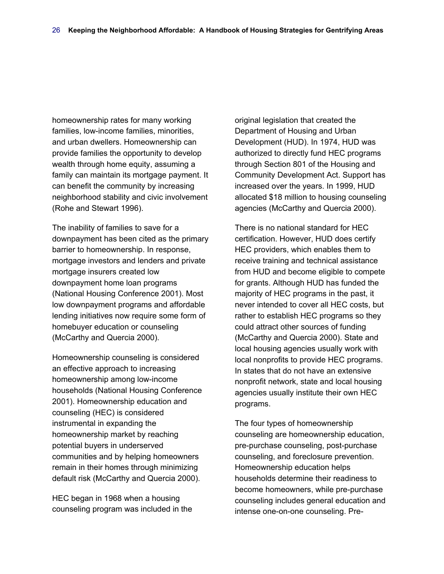homeownership rates for many working families, low-income families, minorities, and urban dwellers. Homeownership can provide families the opportunity to develop wealth through home equity, assuming a family can maintain its mortgage payment. It can benefit the community by increasing neighborhood stability and civic involvement (Rohe and Stewart 1996).

The inability of families to save for a downpayment has been cited as the primary barrier to homeownership. In response, mortgage investors and lenders and private mortgage insurers created low downpayment home loan programs (National Housing Conference 2001). Most low downpayment programs and affordable lending initiatives now require some form of homebuyer education or counseling (McCarthy and Quercia 2000).

Homeownership counseling is considered an effective approach to increasing homeownership among low-income households (National Housing Conference 2001). Homeownership education and counseling (HEC) is considered instrumental in expanding the homeownership market by reaching potential buyers in underserved communities and by helping homeowners remain in their homes through minimizing default risk (McCarthy and Quercia 2000).

HEC began in 1968 when a housing counseling program was included in the

original legislation that created the Department of Housing and Urban Development (HUD). In 1974, HUD was authorized to directly fund HEC programs through Section 801 of the Housing and Community Development Act. Support has increased over the years. In 1999, HUD allocated \$18 million to housing counseling agencies (McCarthy and Quercia 2000).

There is no national standard for HEC certification. However, HUD does certify HEC providers, which enables them to receive training and technical assistance from HUD and become eligible to compete for grants. Although HUD has funded the majority of HEC programs in the past, it never intended to cover all HEC costs, but rather to establish HEC programs so they could attract other sources of funding (McCarthy and Quercia 2000). State and local housing agencies usually work with local nonprofits to provide HEC programs. In states that do not have an extensive nonprofit network, state and local housing agencies usually institute their own HEC programs.

The four types of homeownership counseling are homeownership education, pre-purchase counseling, post-purchase counseling, and foreclosure prevention. Homeownership education helps households determine their readiness to become homeowners, while pre-purchase counseling includes general education and intense one-on-one counseling. Pre-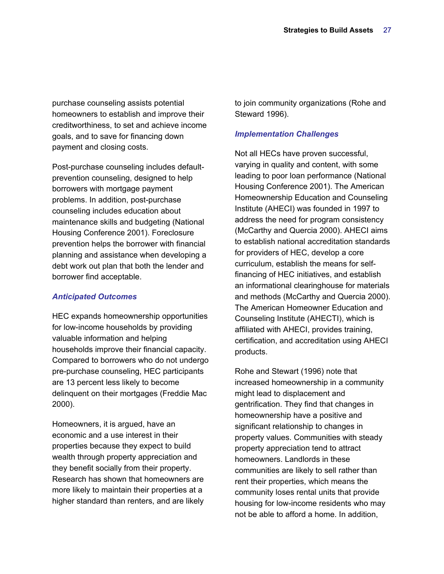purchase counseling assists potential homeowners to establish and improve their creditworthiness, to set and achieve income goals, and to save for financing down payment and closing costs.

Post-purchase counseling includes defaultprevention counseling, designed to help borrowers with mortgage payment problems. In addition, post-purchase counseling includes education about maintenance skills and budgeting (National Housing Conference 2001). Foreclosure prevention helps the borrower with financial planning and assistance when developing a debt work out plan that both the lender and borrower find acceptable.

#### *Anticipated Outcomes*

HEC expands homeownership opportunities for low-income households by providing valuable information and helping households improve their financial capacity. Compared to borrowers who do not undergo pre-purchase counseling, HEC participants are 13 percent less likely to become delinquent on their mortgages (Freddie Mac 2000).

Homeowners, it is argued, have an economic and a use interest in their properties because they expect to build wealth through property appreciation and they benefit socially from their property. Research has shown that homeowners are more likely to maintain their properties at a higher standard than renters, and are likely to join community organizations (Rohe and Steward 1996).

#### *Implementation Challenges*

Not all HECs have proven successful, varying in quality and content, with some leading to poor loan performance (National Housing Conference 2001). The American Homeownership Education and Counseling Institute (AHECI) was founded in 1997 to address the need for program consistency (McCarthy and Quercia 2000). AHECI aims to establish national accreditation standards for providers of HEC, develop a core curriculum, establish the means for selffinancing of HEC initiatives, and establish an informational clearinghouse for materials and methods (McCarthy and Quercia 2000). The American Homeowner Education and Counseling Institute (AHECTI), which is affiliated with AHECI, provides training, certification, and accreditation using AHECI products.

Rohe and Stewart (1996) note that increased homeownership in a community might lead to displacement and gentrification. They find that changes in homeownership have a positive and significant relationship to changes in property values. Communities with steady property appreciation tend to attract homeowners. Landlords in these communities are likely to sell rather than rent their properties, which means the community loses rental units that provide housing for low-income residents who may not be able to afford a home. In addition,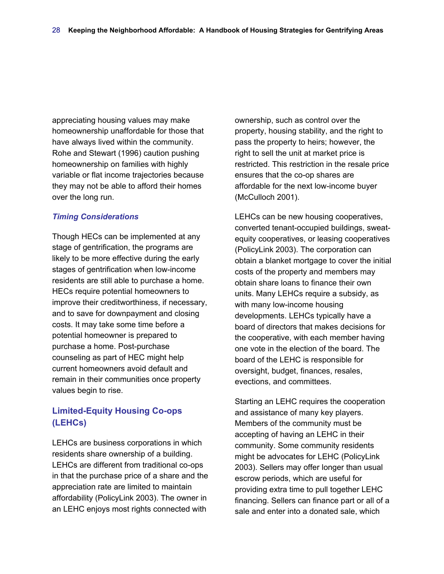<span id="page-35-0"></span>appreciating housing values may make homeownership unaffordable for those that have always lived within the community. Rohe and Stewart (1996) caution pushing homeownership on families with highly variable or flat income trajectories because they may not be able to afford their homes over the long run.

#### *Timing Considerations*

Though HECs can be implemented at any stage of gentrification, the programs are likely to be more effective during the early stages of gentrification when low-income residents are still able to purchase a home. HECs require potential homeowners to improve their creditworthiness, if necessary, and to save for downpayment and closing costs. It may take some time before a potential homeowner is prepared to purchase a home. Post-purchase counseling as part of HEC might help current homeowners avoid default and remain in their communities once property values begin to rise.

# **Limited-Equity Housing Co-ops (LEHCs)**

LEHCs are business corporations in which residents share ownership of a building. LEHCs are different from traditional co-ops in that the purchase price of a share and the appreciation rate are limited to maintain affordability (PolicyLink 2003). The owner in an LEHC enjoys most rights connected with

ownership, such as control over the property, housing stability, and the right to pass the property to heirs; however, the right to sell the unit at market price is restricted. This restriction in the resale price ensures that the co-op shares are affordable for the next low-income buyer (McCulloch 2001).

LEHCs can be new housing cooperatives, converted tenant-occupied buildings, sweatequity cooperatives, or leasing cooperatives (PolicyLink 2003). The corporation can obtain a blanket mortgage to cover the initial costs of the property and members may obtain share loans to finance their own units. Many LEHCs require a subsidy, as with many low-income housing developments. LEHCs typically have a board of directors that makes decisions for the cooperative, with each member having one vote in the election of the board. The board of the LEHC is responsible for oversight, budget, finances, resales, evections, and committees.

Starting an LEHC requires the cooperation and assistance of many key players. Members of the community must be accepting of having an LEHC in their community. Some community residents might be advocates for LEHC (PolicyLink 2003). Sellers may offer longer than usual escrow periods, which are useful for providing extra time to pull together LEHC financing. Sellers can finance part or all of a sale and enter into a donated sale, which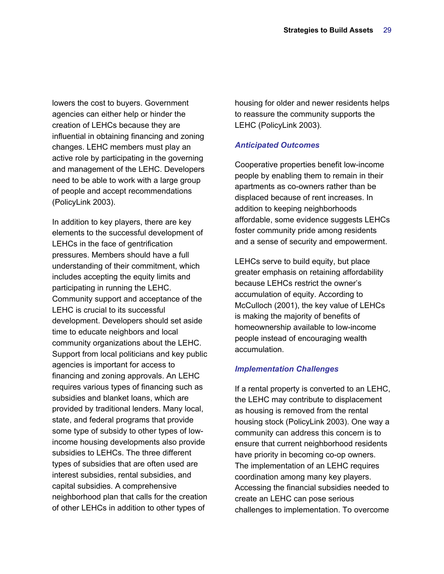lowers the cost to buyers. Government agencies can either help or hinder the creation of LEHCs because they are influential in obtaining financing and zoning changes. LEHC members must play an active role by participating in the governing and management of the LEHC. Developers need to be able to work with a large group of people and accept recommendations (PolicyLink 2003).

In addition to key players, there are key elements to the successful development of LEHCs in the face of gentrification pressures. Members should have a full understanding of their commitment, which includes accepting the equity limits and participating in running the LEHC. Community support and acceptance of the LEHC is crucial to its successful development. Developers should set aside time to educate neighbors and local community organizations about the LEHC. Support from local politicians and key public agencies is important for access to financing and zoning approvals. An LEHC requires various types of financing such as subsidies and blanket loans, which are provided by traditional lenders. Many local, state, and federal programs that provide some type of subsidy to other types of lowincome housing developments also provide subsidies to LEHCs. The three different types of subsidies that are often used are interest subsidies, rental subsidies, and capital subsidies. A comprehensive neighborhood plan that calls for the creation of other LEHCs in addition to other types of

housing for older and newer residents helps to reassure the community supports the LEHC (PolicyLink 2003).

### *Anticipated Outcomes*

Cooperative properties benefit low-income people by enabling them to remain in their apartments as co-owners rather than be displaced because of rent increases. In addition to keeping neighborhoods affordable, some evidence suggests LEHCs foster community pride among residents and a sense of security and empowerment.

LEHCs serve to build equity, but place greater emphasis on retaining affordability because LEHCs restrict the owner's accumulation of equity. According to McCulloch (2001), the key value of LEHCs is making the majority of benefits of homeownership available to low-income people instead of encouraging wealth accumulation.

# *Implementation Challenges*

If a rental property is converted to an LEHC, the LEHC may contribute to displacement as housing is removed from the rental housing stock (PolicyLink 2003). One way a community can address this concern is to ensure that current neighborhood residents have priority in becoming co-op owners. The implementation of an LEHC requires coordination among many key players. Accessing the financial subsidies needed to create an LEHC can pose serious challenges to implementation. To overcome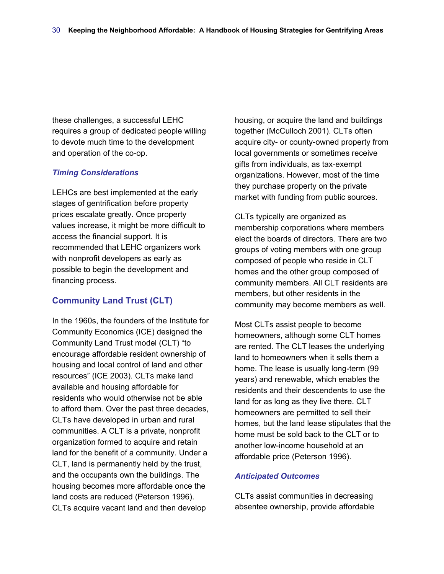<span id="page-37-0"></span>these challenges, a successful LEHC requires a group of dedicated people willing to devote much time to the development and operation of the co-op.

#### *Timing Considerations*

LEHCs are best implemented at the early stages of gentrification before property prices escalate greatly. Once property values increase, it might be more difficult to access the financial support. It is recommended that LEHC organizers work with nonprofit developers as early as possible to begin the development and financing process.

# **Community Land Trust (CLT)**

In the 1960s, the founders of the Institute for Community Economics (ICE) designed the Community Land Trust model (CLT) "to encourage affordable resident ownership of housing and local control of land and other resources" (ICE 2003). CLTs make land available and housing affordable for residents who would otherwise not be able to afford them. Over the past three decades, CLTs have developed in urban and rural communities. A CLT is a private, nonprofit organization formed to acquire and retain land for the benefit of a community. Under a CLT, land is permanently held by the trust, and the occupants own the buildings. The housing becomes more affordable once the land costs are reduced (Peterson 1996). CLTs acquire vacant land and then develop

housing, or acquire the land and buildings together (McCulloch 2001). CLTs often acquire city- or county-owned property from local governments or sometimes receive gifts from individuals, as tax-exempt organizations. However, most of the time they purchase property on the private market with funding from public sources.

CLTs typically are organized as membership corporations where members elect the boards of directors. There are two groups of voting members with one group composed of people who reside in CLT homes and the other group composed of community members. All CLT residents are members, but other residents in the community may become members as well.

Most CLTs assist people to become homeowners, although some CLT homes are rented. The CLT leases the underlying land to homeowners when it sells them a home. The lease is usually long-term (99 years) and renewable, which enables the residents and their descendents to use the land for as long as they live there. CLT homeowners are permitted to sell their homes, but the land lease stipulates that the home must be sold back to the CLT or to another low-income household at an affordable price (Peterson 1996).

#### *Anticipated Outcomes*

CLTs assist communities in decreasing absentee ownership, provide affordable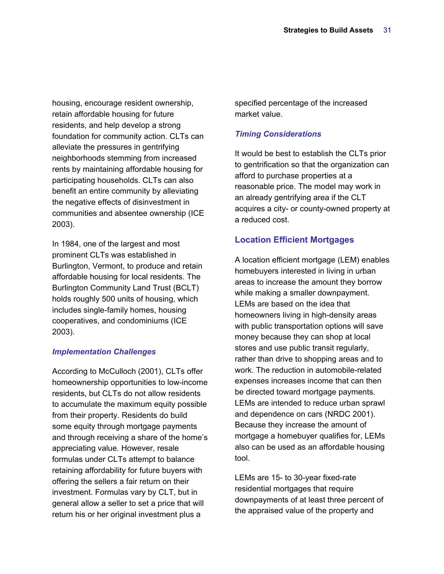<span id="page-38-0"></span>housing, encourage resident ownership, retain affordable housing for future residents, and help develop a strong foundation for community action. CLTs can alleviate the pressures in gentrifying neighborhoods stemming from increased rents by maintaining affordable housing for participating households. CLTs can also benefit an entire community by alleviating the negative effects of disinvestment in communities and absentee ownership (ICE 2003).

In 1984, one of the largest and most prominent CLTs was established in Burlington, Vermont, to produce and retain affordable housing for local residents. The Burlington Community Land Trust (BCLT) holds roughly 500 units of housing, which includes single-family homes, housing cooperatives, and condominiums (ICE 2003).

#### *Implementation Challenges*

According to McCulloch (2001), CLTs offer homeownership opportunities to low-income residents, but CLTs do not allow residents to accumulate the maximum equity possible from their property. Residents do build some equity through mortgage payments and through receiving a share of the home's appreciating value. However, resale formulas under CLTs attempt to balance retaining affordability for future buyers with offering the sellers a fair return on their investment. Formulas vary by CLT, but in general allow a seller to set a price that will return his or her original investment plus a

specified percentage of the increased market value.

### *Timing Considerations*

It would be best to establish the CLTs prior to gentrification so that the organization can afford to purchase properties at a reasonable price. The model may work in an already gentrifying area if the CLT acquires a city- or county-owned property at a reduced cost.

# **Location Efficient Mortgages**

A location efficient mortgage (LEM) enables homebuyers interested in living in urban areas to increase the amount they borrow while making a smaller downpayment. LEMs are based on the idea that homeowners living in high-density areas with public transportation options will save money because they can shop at local stores and use public transit regularly, rather than drive to shopping areas and to work. The reduction in automobile-related expenses increases income that can then be directed toward mortgage payments. LEMs are intended to reduce urban sprawl and dependence on cars (NRDC 2001). Because they increase the amount of mortgage a homebuyer qualifies for, LEMs also can be used as an affordable housing tool.

LEMs are 15- to 30-year fixed-rate residential mortgages that require downpayments of at least three percent of the appraised value of the property and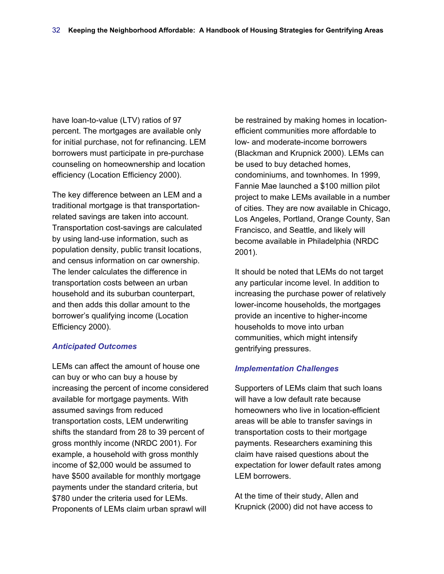have loan-to-value (LTV) ratios of 97 percent. The mortgages are available only for initial purchase, not for refinancing. LEM borrowers must participate in pre-purchase counseling on homeownership and location efficiency (Location Efficiency 2000).

The key difference between an LEM and a traditional mortgage is that transportationrelated savings are taken into account. Transportation cost-savings are calculated by using land-use information, such as population density, public transit locations, and census information on car ownership. The lender calculates the difference in transportation costs between an urban household and its suburban counterpart, and then adds this dollar amount to the borrower's qualifying income (Location Efficiency 2000).

#### *Anticipated Outcomes*

LEMs can affect the amount of house one can buy or who can buy a house by increasing the percent of income considered available for mortgage payments. With assumed savings from reduced transportation costs, LEM underwriting shifts the standard from 28 to 39 percent of gross monthly income (NRDC 2001). For example, a household with gross monthly income of \$2,000 would be assumed to have \$500 available for monthly mortgage payments under the standard criteria, but \$780 under the criteria used for LEMs. Proponents of LEMs claim urban sprawl will

be restrained by making homes in locationefficient communities more affordable to low- and moderate-income borrowers (Blackman and Krupnick 2000). LEMs can be used to buy detached homes, condominiums, and townhomes. In 1999, Fannie Mae launched a \$100 million pilot project to make LEMs available in a number of cities. They are now available in Chicago, Los Angeles, Portland, Orange County, San Francisco, and Seattle, and likely will become available in Philadelphia (NRDC 2001).

It should be noted that LEMs do not target any particular income level. In addition to increasing the purchase power of relatively lower-income households, the mortgages provide an incentive to higher-income households to move into urban communities, which might intensify gentrifying pressures.

#### *Implementation Challenges*

Supporters of LEMs claim that such loans will have a low default rate because homeowners who live in location-efficient areas will be able to transfer savings in transportation costs to their mortgage payments. Researchers examining this claim have raised questions about the expectation for lower default rates among LEM borrowers.

At the time of their study, Allen and Krupnick (2000) did not have access to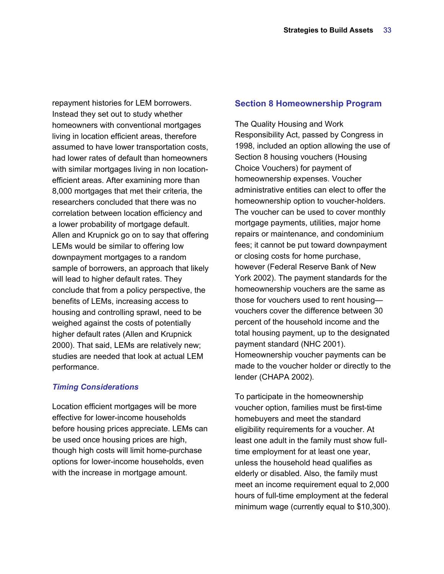<span id="page-40-0"></span>repayment histories for LEM borrowers. Instead they set out to study whether homeowners with conventional mortgages living in location efficient areas, therefore assumed to have lower transportation costs, had lower rates of default than homeowners with similar mortgages living in non locationefficient areas. After examining more than 8,000 mortgages that met their criteria, the researchers concluded that there was no correlation between location efficiency and a lower probability of mortgage default. Allen and Krupnick go on to say that offering LEMs would be similar to offering low downpayment mortgages to a random sample of borrowers, an approach that likely will lead to higher default rates. They conclude that from a policy perspective, the benefits of LEMs, increasing access to housing and controlling sprawl, need to be weighed against the costs of potentially higher default rates (Allen and Krupnick 2000). That said, LEMs are relatively new; studies are needed that look at actual LEM performance.

#### *Timing Considerations*

Location efficient mortgages will be more effective for lower-income households before housing prices appreciate. LEMs can be used once housing prices are high, though high costs will limit home-purchase options for lower-income households, even with the increase in mortgage amount.

#### **Section 8 Homeownership Program**

The Quality Housing and Work Responsibility Act, passed by Congress in 1998, included an option allowing the use of Section 8 housing vouchers (Housing Choice Vouchers) for payment of homeownership expenses. Voucher administrative entities can elect to offer the homeownership option to voucher-holders. The voucher can be used to cover monthly mortgage payments, utilities, major home repairs or maintenance, and condominium fees; it cannot be put toward downpayment or closing costs for home purchase, however (Federal Reserve Bank of New York 2002). The payment standards for the homeownership vouchers are the same as those for vouchers used to rent housing vouchers cover the difference between 30 percent of the household income and the total housing payment, up to the designated payment standard (NHC 2001). Homeownership voucher payments can be made to the voucher holder or directly to the lender (CHAPA 2002).

To participate in the homeownership voucher option, families must be first-time homebuyers and meet the standard eligibility requirements for a voucher. At least one adult in the family must show fulltime employment for at least one year, unless the household head qualifies as elderly or disabled. Also, the family must meet an income requirement equal to 2,000 hours of full-time employment at the federal minimum wage (currently equal to \$10,300).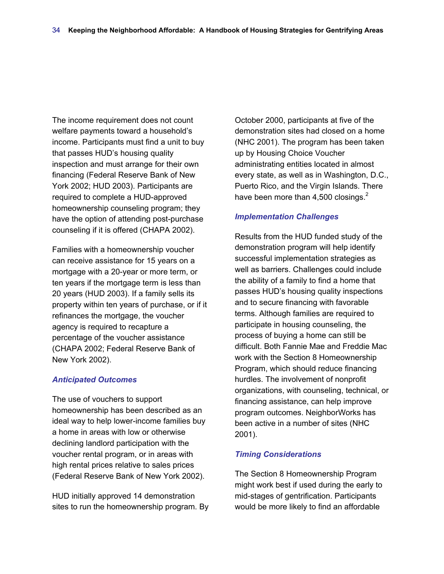The income requirement does not count welfare payments toward a household's income. Participants must find a unit to buy that passes HUD's housing quality inspection and must arrange for their own financing (Federal Reserve Bank of New York 2002; HUD 2003). Participants are required to complete a HUD-approved homeownership counseling program; they have the option of attending post-purchase counseling if it is offered (CHAPA 2002).

Families with a homeownership voucher can receive assistance for 15 years on a mortgage with a 20-year or more term, or ten years if the mortgage term is less than 20 years (HUD 2003). If a family sells its property within ten years of purchase, or if it refinances the mortgage, the voucher agency is required to recapture a percentage of the voucher assistance (CHAPA 2002; Federal Reserve Bank of New York 2002).

#### *Anticipated Outcomes*

The use of vouchers to support homeownership has been described as an ideal way to help lower-income families buy a home in areas with low or otherwise declining landlord participation with the voucher rental program, or in areas with high rental prices relative to sales prices (Federal Reserve Bank of New York 2002).

HUD initially approved 14 demonstration sites to run the homeownership program. By October 2000, participants at five of the demonstration sites had closed on a home (NHC 2001). The program has been taken up by Housing Choice Voucher administrating entities located in almost every state, as well as in Washington, D.C., Puerto Rico, and the Virgin Islands. There have been more than 4,500 closings.<sup>[2](#page-49-2)</sup>

#### *Implementation Challenges*

Results from the HUD funded study of the demonstration program will help identify successful implementation strategies as well as barriers. Challenges could include the ability of a family to find a home that passes HUD's housing quality inspections and to secure financing with favorable terms. Although families are required to participate in housing counseling, the process of buying a home can still be difficult. Both Fannie Mae and Freddie Mac work with the Section 8 Homeownership Program, which should reduce financing hurdles. The involvement of nonprofit organizations, with counseling, technical, or financing assistance, can help improve program outcomes. NeighborWorks has been active in a number of sites (NHC 2001).

#### *Timing Considerations*

The Section 8 Homeownership Program might work best if used during the early to mid-stages of gentrification. Participants would be more likely to find an affordable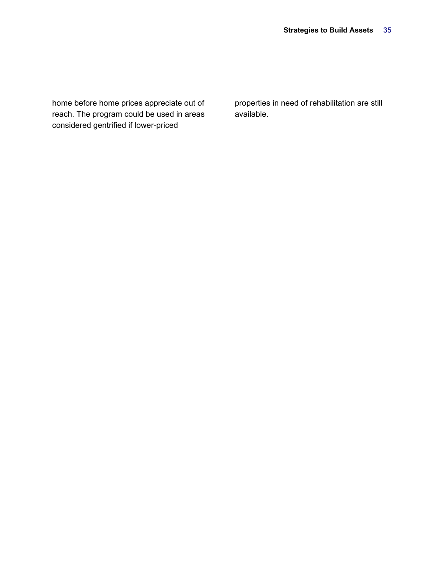home before home prices appreciate out of reach. The program could be used in areas considered gentrified if lower-priced

properties in need of rehabilitation are still available.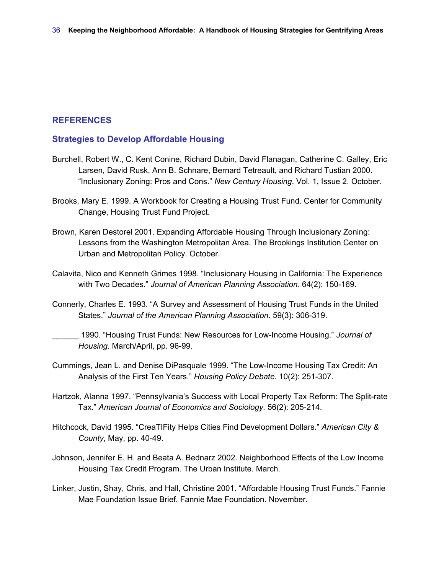### <span id="page-43-0"></span>**REFERENCES**

### **Strategies to Develop Affordable Housing**

- Burchell, Robert W., C. Kent Conine, Richard Dubin, David Flanagan, Catherine C. Galley, Eric Larsen, David Rusk, Ann B. Schnare, Bernard Tetreault, and Richard Tustian 2000. "Inclusionary Zoning: Pros and Cons." *New Century Housing*. Vol. 1, Issue 2. October.
- Brooks, Mary E. 1999. A Workbook for Creating a Housing Trust Fund. Center for Community Change, Housing Trust Fund Project.
- Brown, Karen Destorel 2001. Expanding Affordable Housing Through Inclusionary Zoning: Lessons from the Washington Metropolitan Area. The Brookings Institution Center on Urban and Metropolitan Policy. October.
- Calavita, Nico and Kenneth Grimes 1998. "Inclusionary Housing in California: The Experience with Two Decades." *Journal of American Planning Association*. 64(2): 150-169.
- Connerly, Charles E. 1993. "A Survey and Assessment of Housing Trust Funds in the United States." *Journal of the American Planning Association.* 59(3): 306-319.
- \_\_\_\_\_\_ 1990. "Housing Trust Funds: New Resources for Low-Income Housing." *Journal of Housing*. March/April, pp. 96-99.
- Cummings, Jean L. and Denise DiPasquale 1999. "The Low-Income Housing Tax Credit: An Analysis of the First Ten Years." *Housing Policy Debate*. 10(2): 251-307.
- Hartzok, Alanna 1997. "Pennsylvania's Success with Local Property Tax Reform: The Split-rate Tax." *American Journal of Economics and Sociology.* 56(2): 205-214.
- Hitchcock, David 1995. "CreaTIFity Helps Cities Find Development Dollars." *American City & County*, May, pp. 40-49.
- Johnson, Jennifer E. H. and Beata A. Bednarz 2002. Neighborhood Effects of the Low Income Housing Tax Credit Program. The Urban Institute. March.
- Linker, Justin, Shay, Chris, and Hall, Christine 2001. "Affordable Housing Trust Funds." Fannie Mae Foundation Issue Brief. Fannie Mae Foundation. November.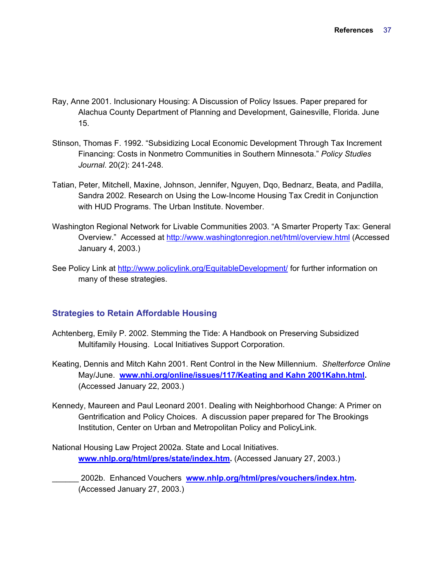- <span id="page-44-0"></span>Ray, Anne 2001. Inclusionary Housing: A Discussion of Policy Issues. Paper prepared for Alachua County Department of Planning and Development, Gainesville, Florida. June 15.
- Stinson, Thomas F. 1992. "Subsidizing Local Economic Development Through Tax Increment Financing: Costs in Nonmetro Communities in Southern Minnesota." *Policy Studies Journal*. 20(2): 241-248.
- Tatian, Peter, Mitchell, Maxine, Johnson, Jennifer, Nguyen, Dqo, Bednarz, Beata, and Padilla, Sandra 2002. Research on Using the Low-Income Housing Tax Credit in Conjunction with HUD Programs. The Urban Institute. November.
- Washington Regional Network for Livable Communities 2003. "A Smarter Property Tax: General Overview." Accessed at <http://www.washingtonregion.net/html/overview.html>(Accessed January 4, 2003.)
- See Policy Link at <http://www.policylink.org/EquitableDevelopment/> for further information on many of these strategies.

# **Strategies to Retain Affordable Housing**

- Achtenberg, Emily P. 2002. Stemming the Tide: A Handbook on Preserving Subsidized Multifamily Housing. Local Initiatives Support Corporation.
- Keating, Dennis and Mitch Kahn 2001. Rent Control in the New Millennium. *Shelterforce Online* May/June. **[www.nhi.org/online/issues/117/Keating and Kahn 2001Kahn.html.](http://www.nhi.org/online/issues/117/KeatingKahn.html)** (Accessed January 22, 2003.)
- Kennedy, Maureen and Paul Leonard 2001. Dealing with Neighborhood Change: A Primer on Gentrification and Policy Choices. A discussion paper prepared for The Brookings Institution, Center on Urban and Metropolitan Policy and PolicyLink.
- National Housing Law Project 2002a. State and Local Initiatives. **[www.nhlp.org/html/pres/state/index.htm](http://www.nhlp.org/html/pres/state/index.htm).** (Accessed January 27, 2003.)

\_\_\_\_\_\_ 2002b. Enhanced Vouchers **[www.nhlp.org/html/pres/vouchers/index.htm.](http://www.nhlp.org/html/pres/vouchers/index.htm)** (Accessed January 27, 2003.)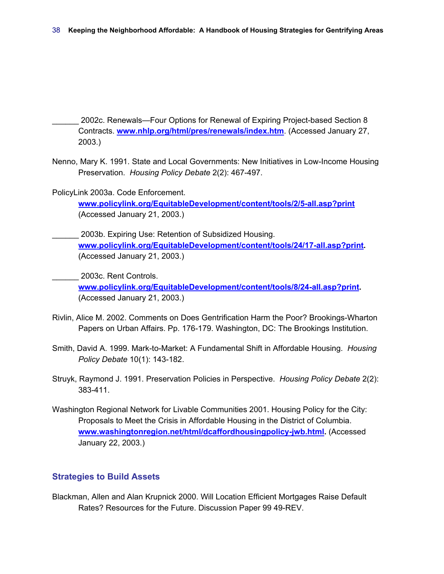<span id="page-45-0"></span>\_\_\_\_\_\_ 2002c. Renewals—Four Options for Renewal of Expiring Project-based Section 8 Contracts. **[www.nhlp.org/html/pres/renewals/index.htm](http://www.nhlp.org/html/pres/renewals/index.htm)**. (Accessed January 27, 2003.)

- Nenno, Mary K. 1991. State and Local Governments: New Initiatives in Low-Income Housing Preservation. *Housing Policy Debate* 2(2): 467-497.
- PolicyLink 2003a. Code Enforcement. **[www.policylink.org/EquitableDevelopment/content/tools/2/5-all.asp?print](http://www.policylink.org/EquitableDevelopment/content/tools/2/5-all.asp?print)** (Accessed January 21, 2003.)
- 2003b. Expiring Use: Retention of Subsidized Housing. **[www.policylink.org/EquitableDevelopment/content/tools/24/17-all.asp?print.](http://www.policylink.org/EquitableDevelopment/content/tools/24/17-all.asp?print)** (Accessed January 21, 2003.)
- \_\_\_\_\_\_ 2003c. Rent Controls. **[www.policylink.org/EquitableDevelopment/content/tools/8/24-all.asp?print.](http://www.policylink.org/EquitableDevelopment/content/tools/8/24-all.asp?print)** (Accessed January 21, 2003.)
- Rivlin, Alice M. 2002. Comments on Does Gentrification Harm the Poor? Brookings-Wharton Papers on Urban Affairs. Pp. 176-179. Washington, DC: The Brookings Institution.
- Smith, David A. 1999. Mark-to-Market: A Fundamental Shift in Affordable Housing. *Housing Policy Debate* 10(1): 143-182.
- Struyk, Raymond J. 1991. Preservation Policies in Perspective. *Housing Policy Debate* 2(2): 383-411.
- Washington Regional Network for Livable Communities 2001. Housing Policy for the City: Proposals to Meet the Crisis in Affordable Housing in the District of Columbia. **[www.washingtonregion.net/html/dcaffordhousingpolicy-jwb.html](http://www.washingtonregion.net/html/dcaffordhousingpolicy-jwb.html).** (Accessed January 22, 2003.)

# **Strategies to Build Assets**

Blackman, Allen and Alan Krupnick 2000. Will Location Efficient Mortgages Raise Default Rates? Resources for the Future. Discussion Paper 99 49-REV.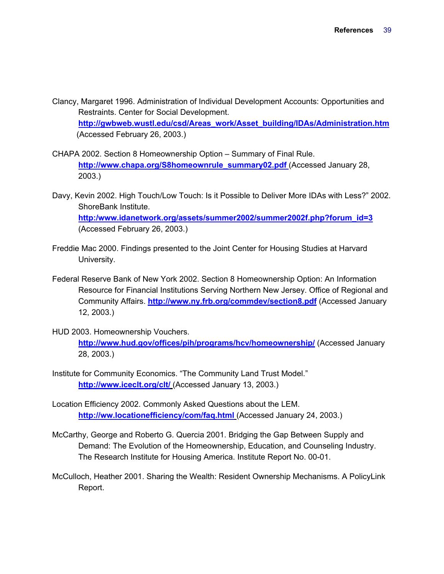- Clancy, Margaret 1996. Administration of Individual Development Accounts: Opportunities and Restraints. Center for Social Development. **[http://gwbweb.wustl.edu/csd/Areas\\_work/Asset\\_building/IDAs/Administration.htm](http://gwbweb.wustl.edu/csd/Areas_work/Asset_building/IDAs/Administration.htm)** (Accessed February 26, 2003.)
- CHAPA 2002. Section 8 Homeownership Option Summary of Final Rule. **[http://www.chapa.org/S8homeownrule\\_summary02.pdf](http://www.chapa.org/S8homeownrule_summary02.pdf)** (Accessed January 28, 2003.)
- Davy, Kevin 2002. High Touch/Low Touch: Is it Possible to Deliver More IDAs with Less?" 2002. ShoreBank Institute. **http:/www.idanetwork.org/assets/summer2002/summer2002f.php?forum\_id=3** (Accessed February 26, 2003.)
- Freddie Mac 2000. Findings presented to the Joint Center for Housing Studies at Harvard University.
- Federal Reserve Bank of New York 2002. Section 8 Homeownership Option: An Information Resource for Financial Institutions Serving Northern New Jersey. Office of Regional and Community Affairs. **<http://www.ny.frb.org/commdev/section8.pdf>** (Accessed January 12, 2003.)
- HUD 2003. Homeownership Vouchers. **<http://www.hud.gov/offices/pih/programs/hcv/homeownership/>** (Accessed January 28, 2003.)
- Institute for Community Economics. "The Community Land Trust Model." **<http://www.iceclt.org/clt/>** (Accessed January 13, 2003.)
- Location Efficiency 2002. Commonly Asked Questions about the LEM. **<http://ww.locationefficiency/com/faq.html>** (Accessed January 24, 2003.)
- McCarthy, George and Roberto G. Quercia 2001. Bridging the Gap Between Supply and Demand: The Evolution of the Homeownership, Education, and Counseling Industry. The Research Institute for Housing America. Institute Report No. 00-01.
- McCulloch, Heather 2001. Sharing the Wealth: Resident Ownership Mechanisms. A PolicyLink Report.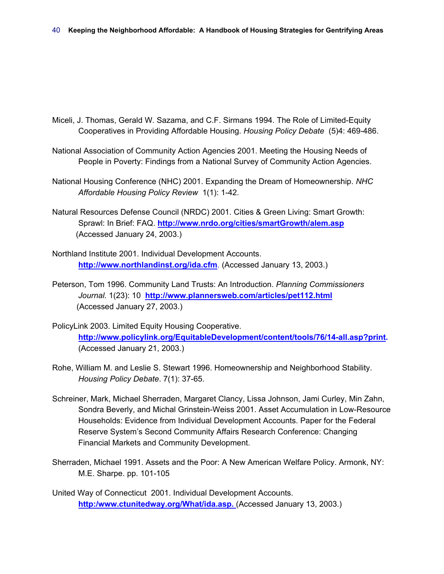- Miceli, J. Thomas, Gerald W. Sazama, and C.F. Sirmans 1994. The Role of Limited-Equity Cooperatives in Providing Affordable Housing. *Housing Policy Debate* (5)4: 469-486.
- National Association of Community Action Agencies 2001. Meeting the Housing Needs of People in Poverty: Findings from a National Survey of Community Action Agencies.
- National Housing Conference (NHC) 2001. Expanding the Dream of Homeownership. *NHC Affordable Housing Policy Review* 1(1): 1-42.
- Natural Resources Defense Council (NRDC) 2001. Cities & Green Living: Smart Growth: Sprawl: In Brief: FAQ. **<http://www.nrdo.org/cities/smartGrowth/alem.asp>** (Accessed January 24, 2003.)
- Northland Institute 2001. Individual Development Accounts. **<http://www.northlandinst.org/ida.cfm>**. (Accessed January 13, 2003.)
- Peterson, Tom 1996. Community Land Trusts: An Introduction. *Planning Commissioners Journal.* 1(23): 10 **<http://www.plannersweb.com/articles/pet112.html>** (Accessed January 27, 2003.)
- PolicyLink 2003. Limited Equity Housing Cooperative. **<http://www.policylink.org/EquitableDevelopment/content/tools/76/14-all.asp?print>.** (Accessed January 21, 2003.)
- Rohe, William M. and Leslie S. Stewart 1996. Homeownership and Neighborhood Stability. *Housing Policy Debate*. 7(1): 37-65.
- Schreiner, Mark, Michael Sherraden, Margaret Clancy, Lissa Johnson, Jami Curley, Min Zahn, Sondra Beverly, and Michal Grinstein-Weiss 2001. Asset Accumulation in Low-Resource Households: Evidence from Individual Development Accounts. Paper for the Federal Reserve System's Second Community Affairs Research Conference: Changing Financial Markets and Community Development.
- Sherraden, Michael 1991. Assets and the Poor: A New American Welfare Policy. Armonk, NY: M.E. Sharpe. pp. 101-105
- United Way of Connecticut 2001. Individual Development Accounts. **http:/www.ctunitedway.org/What/ida.asp.** (Accessed January 13, 2003.)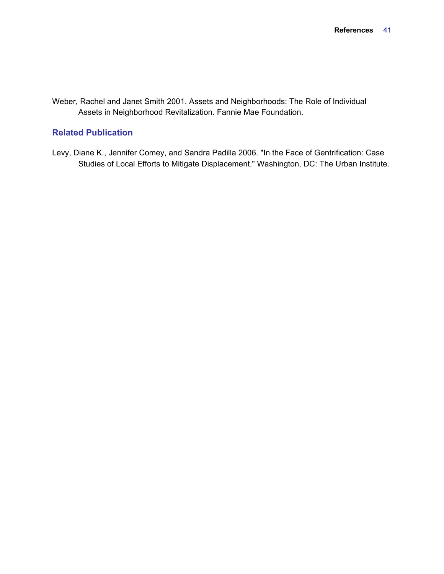<span id="page-48-0"></span>Weber, Rachel and Janet Smith 2001. Assets and Neighborhoods: The Role of Individual Assets in Neighborhood Revitalization. Fannie Mae Foundation.

# **Related Publication**

Levy, Diane K., Jennifer Comey, and Sandra Padilla 2006. "In the Face of Gentrification: Case Studies of Local Efforts to Mitigate Displacement." Washington, DC: The Urban Institute.